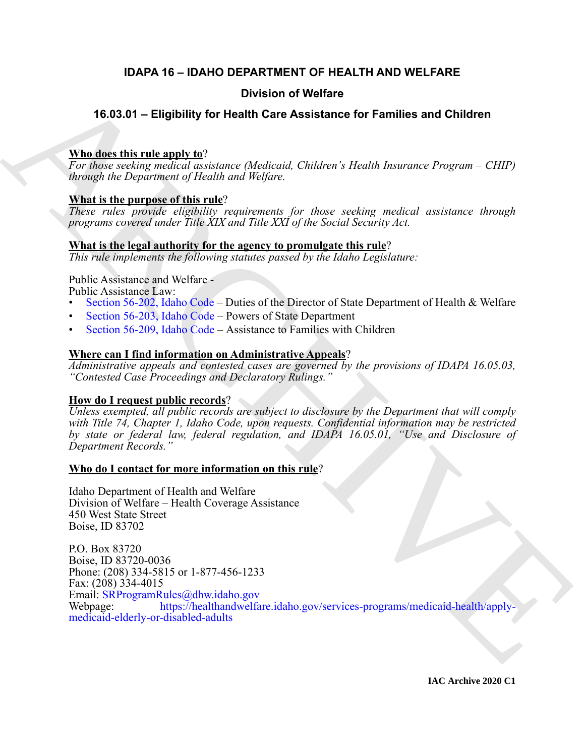# **IDAPA 16 – IDAHO DEPARTMENT OF HEALTH AND WELFARE**

# **Division of Welfare**

# **16.03.01 – Eligibility for Health Care Assistance for Families and Children**

# **Who does this rule apply to**?

*For those seeking medical assistance (Medicaid, Children's Health Insurance Program – CHIP) through the Department of Health and Welfare.*

# **What is the purpose of this rule**?

*These rules provide eligibility requirements for those seeking medical assistance through programs covered under Title XIX and Title XXI of the Social Security Act.*

# **What is the legal authority for the agency to promulgate this rule**?

*This rule implements the following statutes passed by the Idaho Legislature:*

Public Assistance and Welfare -

Public Assistance Law:

- Section 56-202, Idaho Code Duties of the Director of State Department of Health & Welfare
- Section 56-203, Idaho Code Powers of State Department
- Section 56-209, Idaho Code Assistance to Families with Children

# **Where can I find information on Administrative Appeals**?

*Administrative appeals and contested cases are governed by the provisions of IDAPA 16.05.03, "Contested Case Proceedings and Declaratory Rulings."*

# **How do I request public records**?

*Unless exempted, all public records are subject to disclosure by the Department that will comply with Title 74, Chapter 1, Idaho Code, upon requests. Confidential information may be restricted by state or federal law, federal regulation, and IDAPA 16.05.01, "Use and Disclosure of Department Records."*

# **Who do I contact for more information on this rule**?

Idaho Department of Health and Welfare Division of Welfare – Health Coverage Assistance 450 West State Street Boise, ID 83702

A[R](https://legislature.idaho.gov/statutesrules/idstat/Title56/T56CH2/SECT56-202/)[C](https://legislature.idaho.gov/statutesrules/idstat/Title56/T56CH2/SECT56-203/)HI[VE](https://healthandwelfare.idaho.gov/services-programs/medicaid-health/apply-medicaid-elderly-or-disabled-adults) P.O. Box 83720 Boise, ID 83720-0036 Phone: (208) 334-5815 or 1-877-456-1233 Fax: (208) 334-4015 Email: SRProgramRules@dhw.idaho.gov Webpage: https://healthandwelfare.idaho.gov/services-programs/medicaid-health/applymedicaid-elderly-or-disabled-adults

**IAC Archive 2020 C1**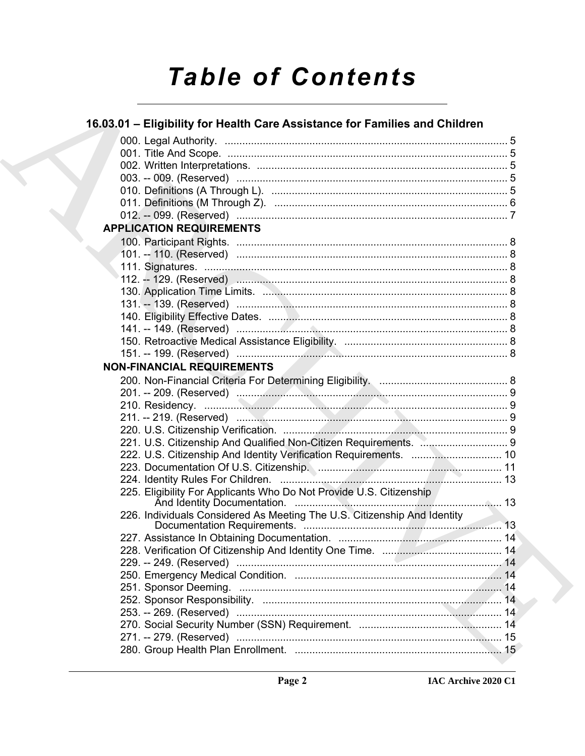# **Table of Contents**

# 16.03.01 - Eligibility for Health Care Assistance for Families and Children

| <b>APPLICATION REQUIREMENTS</b>                                                                                          |  |
|--------------------------------------------------------------------------------------------------------------------------|--|
|                                                                                                                          |  |
|                                                                                                                          |  |
|                                                                                                                          |  |
|                                                                                                                          |  |
|                                                                                                                          |  |
|                                                                                                                          |  |
|                                                                                                                          |  |
|                                                                                                                          |  |
|                                                                                                                          |  |
|                                                                                                                          |  |
| <b>NON-FINANCIAL REQUIREMENTS</b>                                                                                        |  |
|                                                                                                                          |  |
|                                                                                                                          |  |
|                                                                                                                          |  |
|                                                                                                                          |  |
|                                                                                                                          |  |
|                                                                                                                          |  |
|                                                                                                                          |  |
| 223. Documentation Of U.S. Citizenship. <b>Manual According to According the Contract Of U.S.</b> Citizenship. <b>11</b> |  |
|                                                                                                                          |  |
| 225. Eligibility For Applicants Who Do Not Provide U.S. Citizenship                                                      |  |
| 226. Individuals Considered As Meeting The U.S. Citizenship And Identity                                                 |  |
|                                                                                                                          |  |
|                                                                                                                          |  |
|                                                                                                                          |  |
|                                                                                                                          |  |
|                                                                                                                          |  |
|                                                                                                                          |  |
|                                                                                                                          |  |
|                                                                                                                          |  |
|                                                                                                                          |  |
|                                                                                                                          |  |
|                                                                                                                          |  |
|                                                                                                                          |  |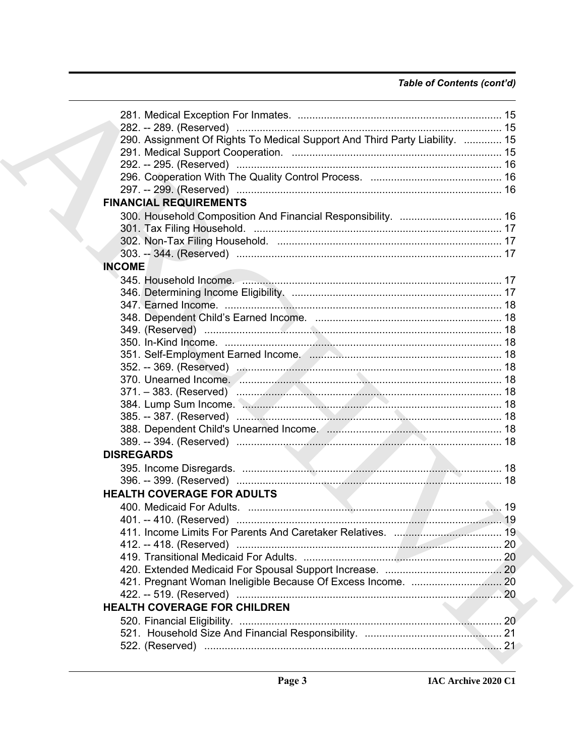# Table of Contents (cont'd)

| 290. Assignment Of Rights To Medical Support And Third Party Liability.  15 |  |
|-----------------------------------------------------------------------------|--|
|                                                                             |  |
|                                                                             |  |
|                                                                             |  |
|                                                                             |  |
| <b>FINANCIAL REQUIREMENTS</b>                                               |  |
|                                                                             |  |
|                                                                             |  |
|                                                                             |  |
|                                                                             |  |
| <b>INCOME</b>                                                               |  |
|                                                                             |  |
|                                                                             |  |
|                                                                             |  |
|                                                                             |  |
|                                                                             |  |
|                                                                             |  |
|                                                                             |  |
|                                                                             |  |
|                                                                             |  |
|                                                                             |  |
|                                                                             |  |
|                                                                             |  |
|                                                                             |  |
|                                                                             |  |
| <b>DISREGARDS</b>                                                           |  |
|                                                                             |  |
|                                                                             |  |
| <b>HEALTH COVERAGE FOR ADULTS</b>                                           |  |
|                                                                             |  |
| 411. Income Limits For Parents And Caretaker Relatives.<br>$\sim$ 19        |  |
|                                                                             |  |
|                                                                             |  |
|                                                                             |  |
|                                                                             |  |
|                                                                             |  |
| <b>HEALTH COVERAGE FOR CHILDREN</b>                                         |  |
|                                                                             |  |
|                                                                             |  |
|                                                                             |  |
|                                                                             |  |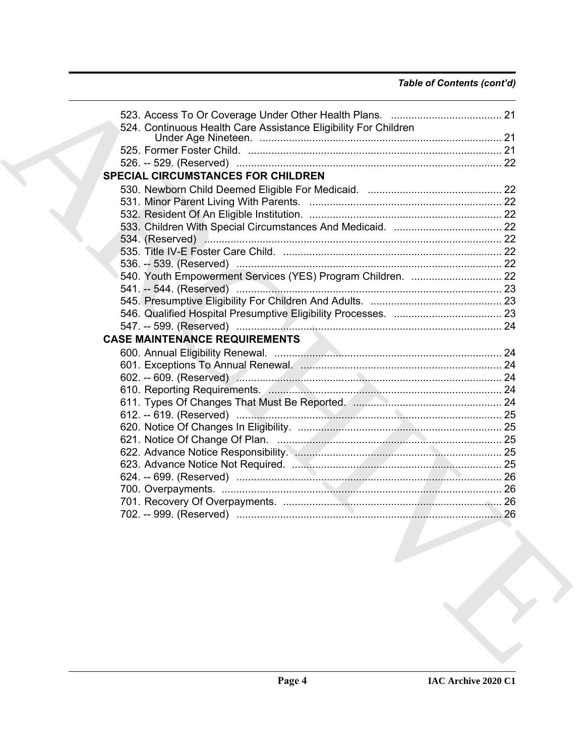| 524. Continuous Health Care Assistance Eligibility For Children<br>SPECIAL CIRCUMSTANCES FOR CHILDREN<br><b>CASE MAINTENANCE REQUIREMENTS</b><br>26 |  |
|-----------------------------------------------------------------------------------------------------------------------------------------------------|--|
|                                                                                                                                                     |  |
|                                                                                                                                                     |  |
|                                                                                                                                                     |  |
|                                                                                                                                                     |  |
|                                                                                                                                                     |  |
|                                                                                                                                                     |  |
|                                                                                                                                                     |  |
|                                                                                                                                                     |  |
|                                                                                                                                                     |  |
|                                                                                                                                                     |  |
|                                                                                                                                                     |  |
|                                                                                                                                                     |  |
|                                                                                                                                                     |  |
|                                                                                                                                                     |  |
|                                                                                                                                                     |  |
|                                                                                                                                                     |  |
|                                                                                                                                                     |  |
|                                                                                                                                                     |  |
|                                                                                                                                                     |  |
|                                                                                                                                                     |  |
|                                                                                                                                                     |  |
|                                                                                                                                                     |  |
|                                                                                                                                                     |  |
|                                                                                                                                                     |  |
|                                                                                                                                                     |  |
|                                                                                                                                                     |  |
|                                                                                                                                                     |  |
|                                                                                                                                                     |  |
|                                                                                                                                                     |  |
|                                                                                                                                                     |  |
|                                                                                                                                                     |  |
|                                                                                                                                                     |  |
|                                                                                                                                                     |  |
|                                                                                                                                                     |  |
|                                                                                                                                                     |  |
|                                                                                                                                                     |  |
|                                                                                                                                                     |  |
|                                                                                                                                                     |  |
|                                                                                                                                                     |  |
|                                                                                                                                                     |  |
|                                                                                                                                                     |  |
|                                                                                                                                                     |  |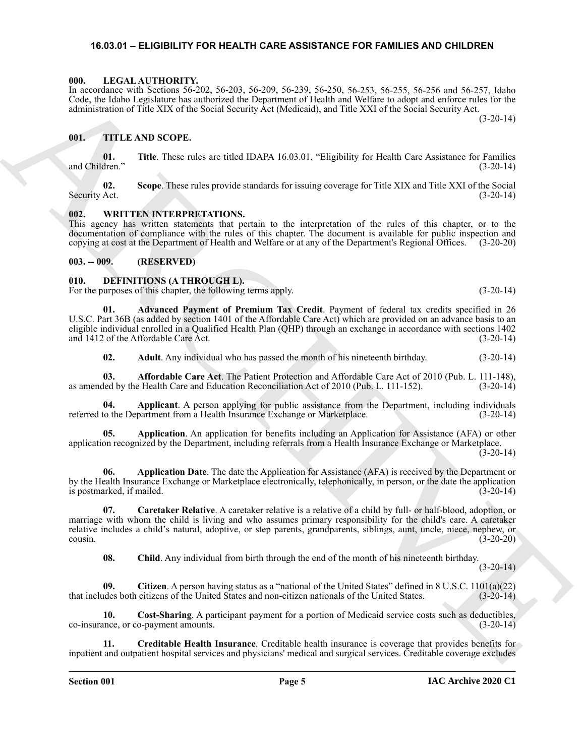# <span id="page-4-18"></span><span id="page-4-0"></span>**16.03.01 – ELIGIBILITY FOR HEALTH CARE ASSISTANCE FOR FAMILIES AND CHILDREN**

#### <span id="page-4-1"></span>**000. LEGAL AUTHORITY.**

In accordance with Sections 56-202, 56-203, 56-209, 56-239, 56-250, 56-253, 56-255, 56-256 and 56-257, Idaho Code, the Idaho Legislature has authorized the Department of Health and Welfare to adopt and enforce rules for the administration of Title XIX of the Social Security Act (Medicaid), and Title XXI of the Social Security Act.

(3-20-14)

# <span id="page-4-19"></span><span id="page-4-2"></span>**001. TITLE AND SCOPE.**

**01.** Title. These rules are titled IDAPA 16.03.01, "Eligibility for Health Care Assistance for Families dren." (3-20-14) and Children."

**02. Scope**. These rules provide standards for issuing coverage for Title XIX and Title XXI of the Social Security Act. (3-20-14)

# <span id="page-4-20"></span><span id="page-4-3"></span>**002. WRITTEN INTERPRETATIONS.**

This agency has written statements that pertain to the interpretation of the rules of this chapter, or to the documentation of compliance with the rules of this chapter. The document is available for public inspection and copying at cost at the Department of Health and Welfare or at any of the Department's Regional Offices. (3-20-20)

#### <span id="page-4-4"></span>**003. -- 009. (RESERVED)**

# <span id="page-4-6"></span><span id="page-4-5"></span>**010. DEFINITIONS (A THROUGH L).**

For the purposes of this chapter, the following terms apply. (3-20-14)

**01. Advanced Payment of Premium Tax Credit**. Payment of federal tax credits specified in 26 U.S.C. Part 36B (as added by section 1401 of the Affordable Care Act) which are provided on an advance basis to an eligible individual enrolled in a Qualified Health Plan (QHP) through an exchange in accordance with sections 1402 and 1412 of the Affordable Care Act. (3-20-14)

<span id="page-4-10"></span><span id="page-4-9"></span><span id="page-4-8"></span><span id="page-4-7"></span>**02. Adult**. Any individual who has passed the month of his nineteenth birthday. (3-20-14)

**03. Affordable Care Act**. The Patient Protection and Affordable Care Act of 2010 (Pub. L. 111-148), as amended by the Health Care and Education Reconciliation Act of 2010 (Pub. L. 111-152). (3-20-14)

**04. Applicant**. A person applying for public assistance from the Department, including individuals referred to the Department from a Health Insurance Exchange or Marketplace. (3-20-14)

<span id="page-4-11"></span>**05. Application**. An application for benefits including an Application for Assistance (AFA) or other application recognized by the Department, including referrals from a Health Insurance Exchange or Marketplace.  $(3-20-14)$ 

<span id="page-4-12"></span>**06. Application Date**. The date the Application for Assistance (AFA) is received by the Department or by the Health Insurance Exchange or Marketplace electronically, telephonically, in person, or the date the application is postmarked, if mailed. (3-20-14)

Le constants with Resinance de Samuel Constants (1942), 1942), 1942), 1942), 1942), 1942 (1943), 1942 (1948), 1942 (1948), 1942 (1948), 1942 (1948), 1942 (1948), 1942 (1948), 1942 (1948), 1942 (1948), 1942 (1948), 1942 ( **07. Caretaker Relative**. A caretaker relative is a relative of a child by full- or half-blood, adoption, or marriage with whom the child is living and who assumes primary responsibility for the child's care. A caretaker relative includes a child's natural, adoptive, or step parents, grandparents, siblings, aunt, uncle, niece, nephew, or  $\frac{1}{3-20-20}$  (3-20-20)

<span id="page-4-16"></span><span id="page-4-15"></span><span id="page-4-14"></span><span id="page-4-13"></span>**08. Child**. Any individual from birth through the end of the month of his nineteenth birthday.

 $(3-20-14)$ 

**09. Citizen**. A person having status as a "national of the United States" defined in 8 U.S.C. 1101(a)(22) that includes both citizens of the United States and non-citizen nationals of the United States. (3-20-14)

**10. Cost-Sharing**. A participant payment for a portion of Medicaid service costs such as deductibles, ance, or co-payment amounts. (3-20-14) co-insurance, or co-payment amounts.

<span id="page-4-17"></span>**11. Creditable Health Insurance**. Creditable health insurance is coverage that provides benefits for inpatient and outpatient hospital services and physicians' medical and surgical services. Creditable coverage excludes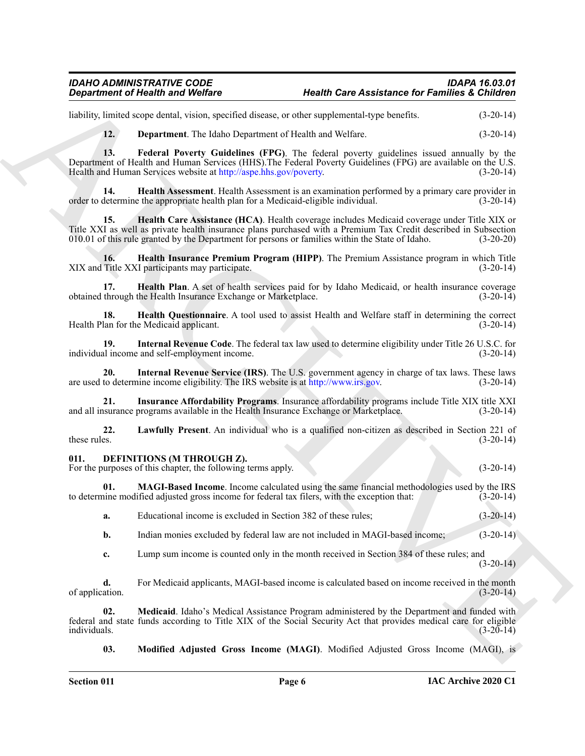# *IDAHO ADMINISTRATIVE CODE IDAPA 16.03.01 Department of Health and Welfare Health Care Assistance for Families & Children*

liability, limited scope dental, vision, specified disease, or other supplemental-type benefits. (3-20-14)

<span id="page-5-3"></span><span id="page-5-2"></span><span id="page-5-1"></span>**12. Department**. The Idaho Department of Health and Welfare. (3-20-14)

Gegardment of Nearly is and Wolfrey<br>
Industries and Wolfrey<br>
Industries and Southern the Mathematical distance of Nearly Boxen and Southern (1976) is (2014)<br>
12. Beparament The Mathematical distance of Nearly and Southern **13. Federal Poverty Guidelines (FPG)**. The federal poverty guidelines issued annually by the Department of Health and Human Services (HHS). The Federal Poverty Guidelines (FPG) are available on the U.S.<br>Health and Human Services website at http://aspe.hhs.gov/poverty. (3-20-14) Health and Human Services website at http://aspe.hhs.gov/poverty.

**14. Health Assessment**. Health Assessment is an examination performed by a primary care provider in order to determine the appropriate health plan for a Medicaid-eligible individual. (3-20-14)

<span id="page-5-4"></span>**15. Health Care Assistance (HCA)**. Health coverage includes Medicaid coverage under Title XIX or Title XXI as well as private health insurance plans purchased with a Premium Tax Credit described in Subsection 010.01 of this rule granted by the Department for persons or families within the State of Idaho. (3-20-20)

<span id="page-5-5"></span>**16. Health Insurance Premium Program (HIPP)**. The Premium Assistance program in which Title Title XXI participants may participate. XIX and Title XXI participants may participate.

<span id="page-5-6"></span>**17. Health Plan**. A set of health services paid for by Idaho Medicaid, or health insurance coverage through the Health Insurance Exchange or Marketplace. obtained through the Health Insurance Exchange or Marketplace.

<span id="page-5-7"></span>**18. Health Questionnaire**. A tool used to assist Health and Welfare staff in determining the correct lan for the Medicaid applicant. (3-20-14) Health Plan for the Medicaid applicant.

<span id="page-5-9"></span>**19. Internal Revenue Code**. The federal tax law used to determine eligibility under Title 26 U.S.C. for al income and self-employment income. individual income and self-employment income.

<span id="page-5-10"></span>**20.** Internal Revenue Service (IRS). The U.S. government agency in charge of tax laws. These laws to determine income eligibility. The IRS website is at http://www.irs.gov. (3-20-14) are used to determine income eligibility. The IRS website is at http://www.irs.gov.

<span id="page-5-8"></span>**21. Insurance Affordability Programs**. Insurance affordability programs include Title XIX title XXI and all insurance programs available in the Health Insurance Exchange or Marketplace. (3-20-14)

<span id="page-5-11"></span>**22.** Lawfully Present. An individual who is a qualified non-citizen as described in Section 221 of these rules. (3-20-14) these rules.  $(3-20-14)$ 

<span id="page-5-12"></span><span id="page-5-0"></span>**011. DEFINITIONS (M THROUGH Z).**

For the purposes of this chapter, the following terms apply. (3-20-14) (3-20-14)

**01. MAGI-Based Income**. Income calculated using the same financial methodologies used by the IRS to determine modified adjusted gross income for federal tax filers, with the exception that: (3-20-14)

<span id="page-5-13"></span>**a.** Educational income is excluded in Section 382 of these rules; (3-20-14)

**b.** Indian monies excluded by federal law are not included in MAGI-based income;  $(3-20-14)$ 

**c.** Lump sum income is counted only in the month received in Section 384 of these rules; and  $(3-20-14)$ 

**d.** For Medicaid applicants, MAGI-based income is calculated based on income received in the month of application.  $(3-20-14)$ 

**02. Medicaid**. Idaho's Medical Assistance Program administered by the Department and funded with federal and state funds according to Title XIX of the Social Security Act that provides medical care for eligible individuals. (3-20-14)

<span id="page-5-15"></span><span id="page-5-14"></span>**03. Modified Adjusted Gross Income (MAGI)**. Modified Adjusted Gross Income (MAGI), is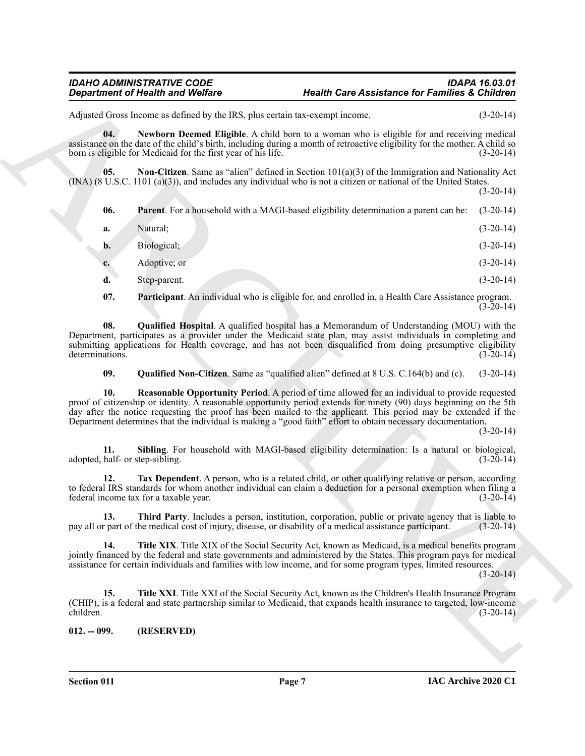# *IDAHO ADMINISTRATIVE CODE IDAPA 16.03.01 Department of Health and Welfare Health Care Assistance for Families & Children*

Adjusted Gross Income as defined by the IRS, plus certain tax-exempt income. (3-20-14)

<span id="page-6-1"></span>**04. Newborn Deemed Eligible**. A child born to a woman who is eligible for and receiving medical assistance on the date of the child's birth, including during a month of retroactive eligibility for the mother. A child so born is eligible for Medicaid for the first year of his life. (3-20-14)

<span id="page-6-3"></span><span id="page-6-2"></span>**05. Non-Citizen**. Same as "alien" defined in Section 101(a)(3) of the Immigration and Nationality Act (INA) (8 U.S.C. 1101 (a)(3)), and includes any individual who is not a citizen or national of the United States.

Grapharine of the salts and Wolfres<br>
Also be the salts and the salts are not a salt of the salt of the salt of the salt of the salt of the salt of the salt of the salt of the salt of the salt of the salt of the salt of th  $(3-20-14)$ **06. Parent**. For a household with a MAGI-based eligibility determination a parent can be: (3-20-14) **a.** Natural; (3-20-14) **b.** Biological; (3-20-14) **c.** Adoptive; or (3-20-14) **d.** Step-parent. (3-20-14)

<span id="page-6-5"></span><span id="page-6-4"></span>**07. Participant**. An individual who is eligible for, and enrolled in, a Health Care Assistance program.  $(3-20-14)$ 

**08. Qualified Hospital**. A qualified hospital has a Memorandum of Understanding (MOU) with the Department, participates as a provider under the Medicaid state plan, may assist individuals in completing and submitting applications for Health coverage, and has not been disqualified from doing presumptive eligibility determinations. (3-20-14)

<span id="page-6-7"></span><span id="page-6-6"></span>**09. Qualified Non-Citizen**. Same as "qualified alien" defined at 8 U.S. C.164(b) and (c). (3-20-14)

**10. Reasonable Opportunity Period**. A period of time allowed for an individual to provide requested proof of citizenship or identity. A reasonable opportunity period extends for ninety (90) days beginning on the 5th day after the notice requesting the proof has been mailed to the applicant. This period may be extended if the Department determines that the individual is making a "good faith" effort to obtain necessary documentation.

(3-20-14)

<span id="page-6-8"></span>**11. Sibling**. For household with MAGI-based eligibility determination: Is a natural or biological, half- or step-sibling. (3-20-14) adopted, half- or step-sibling.

<span id="page-6-9"></span>**12. Tax Dependent**. A person, who is a related child, or other qualifying relative or person, according to federal IRS standards for whom another individual can claim a deduction for a personal exemption when filing a federal income tax for a taxable year. (3-20-14)

<span id="page-6-10"></span>**13. Third Party**. Includes a person, institution, corporation, public or private agency that is liable to pay all or part of the medical cost of injury, disease, or disability of a medical assistance participant. (3-20-14)

<span id="page-6-11"></span>**14. Title XIX**. Title XIX of the Social Security Act, known as Medicaid, is a medical benefits program jointly financed by the federal and state governments and administered by the States. This program pays for medical assistance for certain individuals and families with low income, and for some program types, limited resources.

 $(3-20-14)$ 

<span id="page-6-12"></span>**15. Title XXI**. Title XXI of the Social Security Act, known as the Children's Health Insurance Program (CHIP), is a federal and state partnership similar to Medicaid, that expands health insurance to targeted, low-income children. (3-20-14)

<span id="page-6-0"></span>**012. -- 099. (RESERVED)**

**Section 011 Page 7**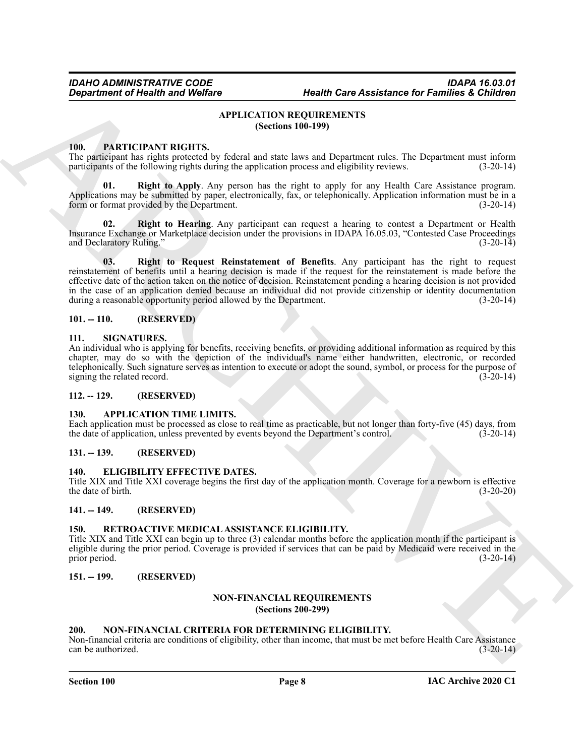# <span id="page-7-13"></span>**APPLICATION REQUIREMENTS (Sections 100-199)**

# <span id="page-7-18"></span><span id="page-7-1"></span><span id="page-7-0"></span>**100. PARTICIPANT RIGHTS.**

The participant has rights protected by federal and state laws and Department rules. The Department must inform participants of the following rights during the application process and eligibility reviews. (3-20-14) participants of the following rights during the application process and eligibility reviews.

<span id="page-7-19"></span>**01. Right to Apply**. Any person has the right to apply for any Health Care Assistance program. Applications may be submitted by paper, electronically, fax, or telephonically. Application information must be in a form or format provided by the Department. form or format provided by the Department.

<span id="page-7-21"></span><span id="page-7-20"></span>**02. Right to Hearing**. Any participant can request a hearing to contest a Department or Health Insurance Exchange or Marketplace decision under the provisions in IDAPA 16.05.03, "Contested Case Proceedings and Declaratory Ruling." (3-20-14)

*Gregaritment of Health and Wolfax*<br>
APPLICATION REQUIRENTS<br>
100. FATTICHIVENT INCHITES.<br>
100. FATTICHIVENT INCHITES.<br>
100. FATTICHIVENT INCHITES (Section 100-199)<br>
110. FATTICHIVENT INCHITES (Section 100-199)<br>
2010. Eq **03. Right to Request Reinstatement of Benefits**. Any participant has the right to request reinstatement of benefits until a hearing decision is made if the request for the reinstatement is made before the effective date of the action taken on the notice of decision. Reinstatement pending a hearing decision is not provided in the case of an application denied because an individual did not provide citizenship or identity documentation during a reasonable opportunity period allowed by the Department. (3-20-14)

# <span id="page-7-2"></span>**101. -- 110. (RESERVED)**

# <span id="page-7-23"></span><span id="page-7-3"></span>**111. SIGNATURES.**

An individual who is applying for benefits, receiving benefits, or providing additional information as required by this chapter, may do so with the depiction of the individual's name either handwritten, electronic, or recorded telephonically. Such signature serves as intention to execute or adopt the sound, symbol, or process for the purpose of signing the related record. signing the related record.

# <span id="page-7-14"></span><span id="page-7-4"></span>**112. -- 129. (RESERVED)**

# <span id="page-7-5"></span>**130. APPLICATION TIME LIMITS.**

Each application must be processed as close to real time as practicable, but not longer than forty-five (45) days, from the date of application, unless prevented by events beyond the Department's control. (3-20-14)

# <span id="page-7-6"></span>**131. -- 139. (RESERVED)**

# <span id="page-7-15"></span><span id="page-7-7"></span>**140. ELIGIBILITY EFFECTIVE DATES.**

Title XIX and Title XXI coverage begins the first day of the application month. Coverage for a newborn is effective the date of birth.  $(3-20-20)$ 

# <span id="page-7-8"></span>**141. -- 149. (RESERVED)**

# <span id="page-7-22"></span><span id="page-7-9"></span>**150. RETROACTIVE MEDICAL ASSISTANCE ELIGIBILITY.**

Title XIX and Title XXI can begin up to three (3) calendar months before the application month if the participant is eligible during the prior period. Coverage is provided if services that can be paid by Medicaid were received in the prior period. (3-20-14)

# <span id="page-7-11"></span><span id="page-7-10"></span>**151. -- 199. (RESERVED)**

# <span id="page-7-17"></span>**NON-FINANCIAL REQUIREMENTS**

**(Sections 200-299)**

# <span id="page-7-16"></span><span id="page-7-12"></span>**200. NON-FINANCIAL CRITERIA FOR DETERMINING ELIGIBILITY.**

Non-financial criteria are conditions of eligibility, other than income, that must be met before Health Care Assistance  $\text{can be authorized.}$  (3-20-14)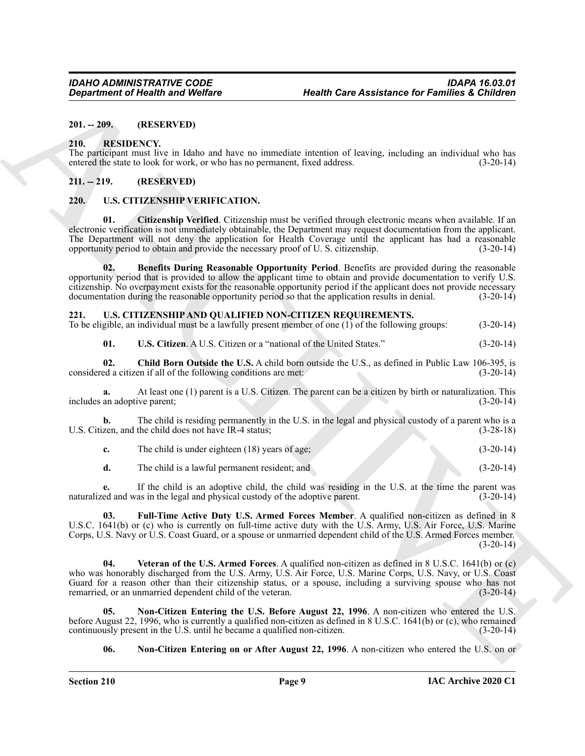# <span id="page-8-0"></span>**201. -- 209. (RESERVED)**

#### <span id="page-8-5"></span><span id="page-8-1"></span>**210. RESIDENCY.**

The participant must live in Idaho and have no immediate intention of leaving, including an individual who has entered the state to look for work, or who has no permanent, fixed address. (3-20-14)

# <span id="page-8-2"></span>**211. -- 219. (RESERVED)**

# <span id="page-8-13"></span><span id="page-8-3"></span>**220. U.S. CITIZENSHIP VERIFICATION.**

<span id="page-8-15"></span><span id="page-8-14"></span>**01. Citizenship Verified**. Citizenship must be verified through electronic means when available. If an electronic verification is not immediately obtainable, the Department may request documentation from the applicant. The Department will not deny the application for Health Coverage until the applicant has had a reasonable opportunity period to obtain and provide the necessary proof of U. S. citizenship. (3-20-14)

Gregaritment of Health was Wolfare<br>
2011 - 2021. The CHIVESE SC Control of the SE Control of the SE Control of the SE Control of the SE CONDITION CONTROL OF THE CONTROL OF THE CONTROL OF THE CONTROL OF THE CONTROL OF THE **02. Benefits During Reasonable Opportunity Period**. Benefits are provided during the reasonable opportunity period that is provided to allow the applicant time to obtain and provide documentation to verify U.S. citizenship. No overpayment exists for the reasonable opportunity period if the applicant does not provide necessary documentation during the reasonable opportunity period so that the application results in denial. (3-20-14)

# <span id="page-8-6"></span><span id="page-8-4"></span>**221. U.S. CITIZENSHIP AND QUALIFIED NON-CITIZEN REQUIREMENTS.**

To be eligible, an individual must be a lawfully present member of one (1) of the following groups: (3-20-14)

<span id="page-8-11"></span><span id="page-8-7"></span>**01. U.S. Citizen**. A U.S. Citizen or a "national of the United States." (3-20-14)

**02.** Child Born Outside the U.S. A child born outside the U.S., as defined in Public Law 106-395, is ed a citizen if all of the following conditions are met: (3-20-14) considered a citizen if all of the following conditions are met:

**a.** At least one (1) parent is a U.S. Citizen. The parent can be a citizen by birth or naturalization. This an adoptive parent; (3-20-14) includes an adoptive parent;

**b.** The child is residing permanently in the U.S. in the legal and physical custody of a parent who is a U.S. Citizen, and the child does not have IR-4 status; (3-28-18)

**c.** The child is under eighteen (18) years of age; (3-20-14)

<span id="page-8-8"></span>**d.** The child is a lawful permanent resident; and (3-20-14)

**e.** If the child is an adoptive child, the child was residing in the U.S. at the time the parent was naturalized and was in the legal and physical custody of the adoptive parent. (3-20-14) (3-20-14)

**03. Full-Time Active Duty U.S. Armed Forces Member**. A qualified non-citizen as defined in 8 U.S.C. 1641(b) or (c) who is currently on full-time active duty with the U.S. Army, U.S. Air Force, U.S. Marine Corps, U.S. Navy or U.S. Coast Guard, or a spouse or unmarried dependent child of the U.S. Armed Forces member.  $(3-20-14)$ 

<span id="page-8-12"></span>**04. Veteran of the U.S. Armed Forces**. A qualified non-citizen as defined in 8 U.S.C. 1641(b) or (c) who was honorably discharged from the U.S. Army, U.S. Air Force, U.S. Marine Corps, U.S. Navy, or U.S. Coast Guard for a reason other than their citizenship status, or a spouse, including a surviving spouse who has not remarried, or an unmarried dependent child of the veteran. (3-20-14)

**05. Non-Citizen Entering the U.S. Before August 22, 1996**. A non-citizen who entered the U.S. before August 22, 1996, who is currently a qualified non-citizen as defined in 8 U.S.C. 1641(b) or (c), who remained continuously present in the U.S. until he became a qualified non-citizen. (3-20-14) continuously present in the U.S. until he became a qualified non-citizen.

<span id="page-8-10"></span><span id="page-8-9"></span>**06.** Non-Citizen Entering on or After August 22, 1996. A non-citizen who entered the U.S. on or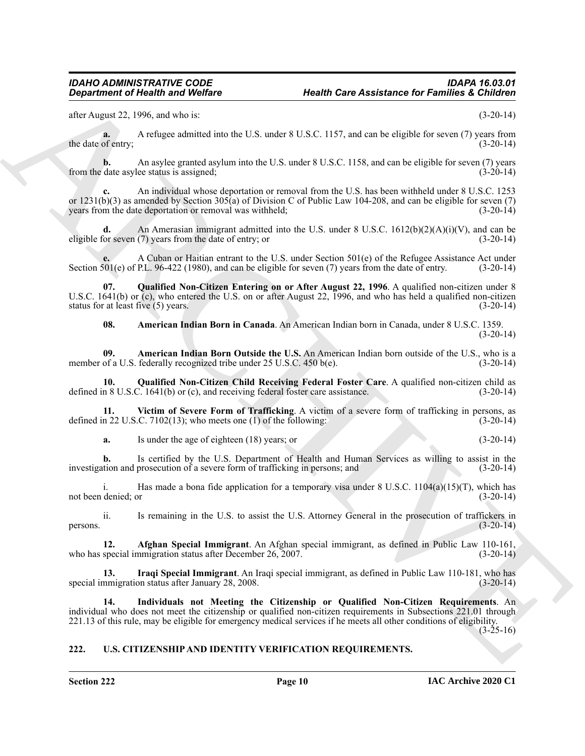after August 22, 1996, and who is: (3-20-14)

**a.** A refugee admitted into the U.S. under 8 U.S.C. 1157, and can be eligible for seven (7) years from the date of entry;  $(3-20-14)$ 

**b.** An asylee granted asylum into the U.S. under 8 U.S.C. 1158, and can be eligible for seven (7) years date asylee status is assigned; (3-20-14) from the date asylee status is assigned;

**c.** An individual whose deportation or removal from the U.S. has been withheld under 8 U.S.C. 1253 or  $1231(b)(3)$  as amended by Section  $305(a)$  of Division C of Public Law 104-208, and can be eligible for seven (7) years from the date deportation or removal was withheld; (3-20-14)

**d.** An Amerasian immigrant admitted into the U.S. under 8 U.S.C. 1612(b)(2)(A)(i)(V), and can be eligible for seven (7) years from the date of entry; or (3-20-14)

**e.** A Cuban or Haitian entrant to the U.S. under Section 501(e) of the Refugee Assistance Act under Section 501(e) of P.L. 96-422 (1980), and can be eligible for seven (7) years from the date of entry.

**Equation of Nicalli wave Wolfare Mathematic Health Care Assistance for Families 3. Children clusters (2.1998)**<br>
Also Archives 2. The mathematic interest in the U.S. and can be digital for sensor (3.1998) (1.1998)<br>
Even b **07. Qualified Non-Citizen Entering on or After August 22, 1996**. A qualified non-citizen under 8 U.S.C. 1641(b) or (c), who entered the U.S. on or after August 22, 1996, and who has held a qualified non-citizen status for at least five  $(5)$  years. (3-20-14)

<span id="page-9-8"></span><span id="page-9-7"></span><span id="page-9-4"></span><span id="page-9-3"></span>**08. American Indian Born in Canada**. An American Indian born in Canada, under 8 U.S.C. 1359.  $(3-20-14)$ 

**09. American Indian Born Outside the U.S.** An American Indian born outside of the U.S., who is a member of a U.S. federally recognized tribe under 25 U.S.C. 450 b(e). (3-20-14)

**10. Qualified Non-Citizen Child Receiving Federal Foster Care**. A qualified non-citizen child as defined in 8 U.S.C. 1641(b) or (c), and receiving federal foster care assistance. (3-20-14)

**11. Victim of Severe Form of Trafficking**. A victim of a severe form of trafficking in persons, as defined in 22 U.S.C. 7102(13); who meets one (1) of the following: (3-20-14)

<span id="page-9-9"></span>**a.** Is under the age of eighteen (18) years; or (3-20-14)

**b.** Is certified by the U.S. Department of Health and Human Services as willing to assist in the investigation and prosecution of a severe form of trafficking in persons; and (3-20-14)

i. Has made a bona fide application for a temporary visa under  $8 \text{ U.S.C. } 1104(a)(15)(T)$ , which has not been denied; or (3-20-14) (3-20-14)

ii. Is remaining in the U.S. to assist the U.S. Attorney General in the prosecution of traffickers in persons.  $(3-20-14)$ 

<span id="page-9-2"></span>**12. Afghan Special Immigrant**. An Afghan special immigrant, as defined in Public Law 110-161, who has special immigration status after December 26, 2007. (3-20-14)

<span id="page-9-6"></span>**13. Iraqi Special Immigrant**. An Iraqi special immigrant, as defined in Public Law 110-181, who has special immigration status after January 28, 2008.

<span id="page-9-5"></span>**14. Individuals not Meeting the Citizenship or Qualified Non-Citizen Requirements**. An individual who does not meet the citizenship or qualified non-citizen requirements in Subsections 221.01 through 221.13 of this rule, may be eligible for emergency medical services if he meets all other conditions of eligibility.  $(3-25-16)$ 

# <span id="page-9-1"></span><span id="page-9-0"></span>**222. U.S. CITIZENSHIP AND IDENTITY VERIFICATION REQUIREMENTS.**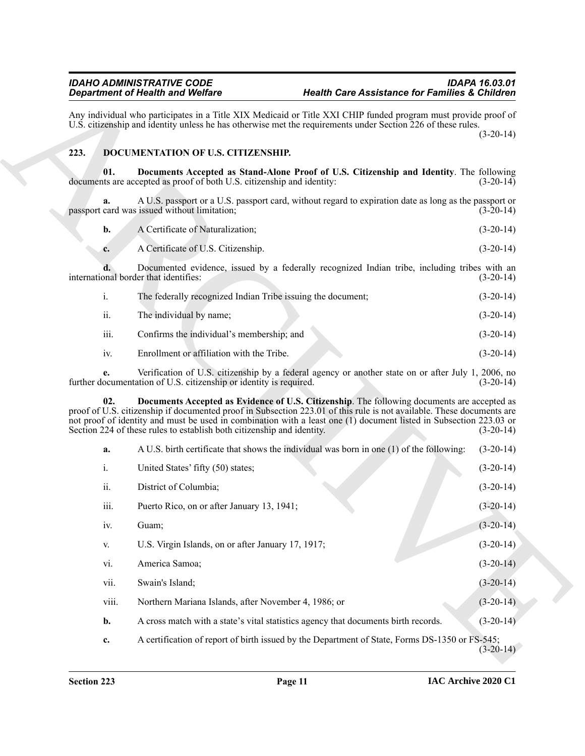# <span id="page-10-3"></span><span id="page-10-1"></span><span id="page-10-0"></span>**223. DOCUMENTATION OF U.S. CITIZENSHIP.**

<span id="page-10-2"></span>

|      | The federally recognized Indian Tribe issuing the document; | $(3-20-14)$ |
|------|-------------------------------------------------------------|-------------|
| ii.  | The individual by name;                                     | $(3-20-14)$ |
| iii. | Confirms the individual's membership; and                   | $(3-20-14)$ |
| 1V.  | Enrollment or affiliation with the Tribe.                   | $(3-20-14)$ |

|       | <b>Department of Health and Welfare</b>                                | <b>Health Care Assistance for Families &amp; Children</b>                                                                                                                                                                                                                                                                                  |                                                                                                |
|-------|------------------------------------------------------------------------|--------------------------------------------------------------------------------------------------------------------------------------------------------------------------------------------------------------------------------------------------------------------------------------------------------------------------------------------|------------------------------------------------------------------------------------------------|
|       |                                                                        | Any individual who participates in a Title XIX Medicaid or Title XXI CHIP funded program must provide proof of<br>U.S. citizenship and identity unless he has otherwise met the requirements under Section 226 of these rules.                                                                                                             | $(3-20-14)$                                                                                    |
| 223.  | DOCUMENTATION OF U.S. CITIZENSHIP.                                     |                                                                                                                                                                                                                                                                                                                                            |                                                                                                |
| 01.   | documents are accepted as proof of both U.S. citizenship and identity: | Documents Accepted as Stand-Alone Proof of U.S. Citizenship and Identity. The following                                                                                                                                                                                                                                                    | $(3-20-14)$                                                                                    |
| a.    | passport card was issued without limitation;                           | A U.S. passport or a U.S. passport card, without regard to expiration date as long as the passport or                                                                                                                                                                                                                                      | $(3-20-14)$                                                                                    |
| b.    | A Certificate of Naturalization;                                       |                                                                                                                                                                                                                                                                                                                                            | $(3-20-14)$                                                                                    |
| c.    | A Certificate of U.S. Citizenship.                                     |                                                                                                                                                                                                                                                                                                                                            | $(3-20-14)$                                                                                    |
|       | international border that identifies:                                  | Documented evidence, issued by a federally recognized Indian tribe, including tribes with an                                                                                                                                                                                                                                               | $(3-20-14)$                                                                                    |
| i.    | The federally recognized Indian Tribe issuing the document;            |                                                                                                                                                                                                                                                                                                                                            | $(3-20-14)$                                                                                    |
| ii.   | The individual by name;                                                |                                                                                                                                                                                                                                                                                                                                            | $(3-20-14)$                                                                                    |
| iii.  | Confirms the individual's membership; and                              |                                                                                                                                                                                                                                                                                                                                            | $(3-20-14)$                                                                                    |
| iv.   | Enrollment or affiliation with the Tribe.                              |                                                                                                                                                                                                                                                                                                                                            | $(3-20-14)$                                                                                    |
| e.    | further documentation of U.S. citizenship or identity is required.     | Verification of U.S. citizenship by a federal agency or another state on or after July 1, 2006, no                                                                                                                                                                                                                                         | $(3-20-14)$                                                                                    |
| 02.   | Section 224 of these rules to establish both citizenship and identity. | Documents Accepted as Evidence of U.S. Citizenship. The following documents are accepted as<br>proof of U.S. citizenship if documented proof in Subsection 223.01 of this rule is not available. These documents are<br>not proof of identity and must be used in combination with a least one (1) document listed in Subsection 223.03 or | $(3-20-14)$                                                                                    |
| a.    |                                                                        | A U.S. birth certificate that shows the individual was born in one (1) of the following:                                                                                                                                                                                                                                                   | $(3-20-14)$                                                                                    |
| i.    | United States' fifty (50) states;                                      |                                                                                                                                                                                                                                                                                                                                            | $(3-20-14)$                                                                                    |
| ii.   | District of Columbia;                                                  |                                                                                                                                                                                                                                                                                                                                            | $(3-20-14)$                                                                                    |
| iii.  | Puerto Rico, on or after January 13, 1941;                             |                                                                                                                                                                                                                                                                                                                                            | $(3-20-14)$                                                                                    |
| iv.   | Guam;                                                                  |                                                                                                                                                                                                                                                                                                                                            | $(3-20-14)$                                                                                    |
| V.    | U.S. Virgin Islands, on or after January 17, 1917;                     |                                                                                                                                                                                                                                                                                                                                            | $(3-20-14)$                                                                                    |
| vi.   | America Samoa;                                                         |                                                                                                                                                                                                                                                                                                                                            | $(3-20-14)$                                                                                    |
| vii.  | Swain's Island;                                                        |                                                                                                                                                                                                                                                                                                                                            | $(3-20-14)$                                                                                    |
| viii. | Northern Mariana Islands, after November 4, 1986; or                   |                                                                                                                                                                                                                                                                                                                                            | $(3-20-14)$                                                                                    |
| b.    |                                                                        | A cross match with a state's vital statistics agency that documents birth records.                                                                                                                                                                                                                                                         | $(3-20-14)$                                                                                    |
|       |                                                                        |                                                                                                                                                                                                                                                                                                                                            | A certification of report of birth issued by the Department of State, Forms DS-1350 or FS-545; |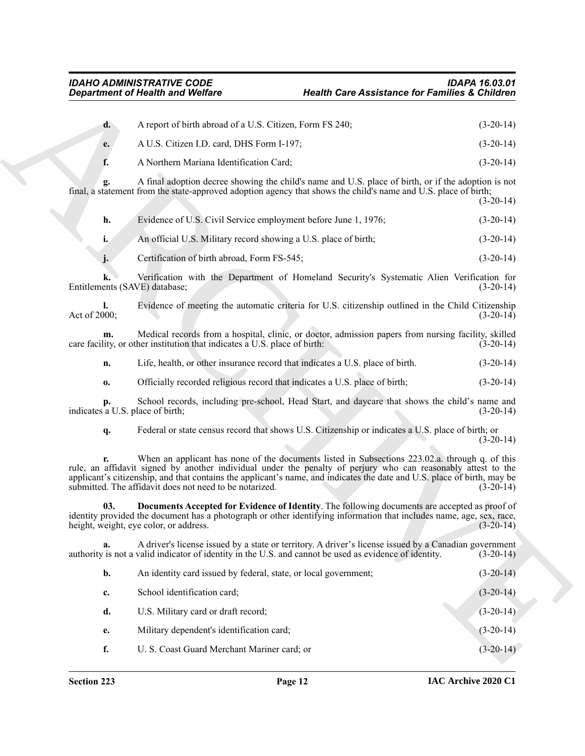| $d_{\star}$ | A report of birth abroad of a U.S. Citizen, Form FS 240; | $(3-20-14)$ |
|-------------|----------------------------------------------------------|-------------|
| e.          | A U.S. Citizen I.D. card, DHS Form I-197;                | $(3-20-14)$ |
|             | A Northern Mariana Identification Card:                  | $(3-20-14)$ |

<span id="page-11-0"></span>

| Evidence of U.S. Civil Service employment before June 1, 1976;  | $(3-20-14)$ |
|-----------------------------------------------------------------|-------------|
| An official U.S. Military record showing a U.S. place of birth; | $(3-20-14)$ |

|                                        | <b>Department of Health and Welfare</b>                                   | <b>Health Care Assistance for Families &amp; Children</b>                                                                                                                                                                                                                                                                                  |             |
|----------------------------------------|---------------------------------------------------------------------------|--------------------------------------------------------------------------------------------------------------------------------------------------------------------------------------------------------------------------------------------------------------------------------------------------------------------------------------------|-------------|
| d.                                     | A report of birth abroad of a U.S. Citizen, Form FS 240;                  |                                                                                                                                                                                                                                                                                                                                            | $(3-20-14)$ |
| e.                                     | A U.S. Citizen I.D. card, DHS Form I-197;                                 |                                                                                                                                                                                                                                                                                                                                            | $(3-20-14)$ |
| f.                                     | A Northern Mariana Identification Card;                                   |                                                                                                                                                                                                                                                                                                                                            | $(3-20-14)$ |
| g.                                     |                                                                           | A final adoption decree showing the child's name and U.S. place of birth, or if the adoption is not<br>final, a statement from the state-approved adoption agency that shows the child's name and U.S. place of birth;                                                                                                                     | $(3-20-14)$ |
| h.                                     | Evidence of U.S. Civil Service employment before June 1, 1976;            |                                                                                                                                                                                                                                                                                                                                            | $(3-20-14)$ |
| i.                                     | An official U.S. Military record showing a U.S. place of birth;           |                                                                                                                                                                                                                                                                                                                                            | $(3-20-14)$ |
| j.                                     | Certification of birth abroad, Form FS-545;                               |                                                                                                                                                                                                                                                                                                                                            | $(3-20-14)$ |
| k.                                     | Entitlements (SAVE) database;                                             | Verification with the Department of Homeland Security's Systematic Alien Verification for                                                                                                                                                                                                                                                  | $(3-20-14)$ |
| I.<br>Act of 2000;                     |                                                                           | Evidence of meeting the automatic criteria for U.S. citizenship outlined in the Child Citizenship                                                                                                                                                                                                                                          | $(3-20-14)$ |
| m.                                     | care facility, or other institution that indicates a U.S. place of birth: | Medical records from a hospital, clinic, or doctor, admission papers from nursing facility, skilled                                                                                                                                                                                                                                        | $(3-20-14)$ |
| n.                                     |                                                                           | Life, health, or other insurance record that indicates a U.S. place of birth.                                                                                                                                                                                                                                                              | $(3-20-14)$ |
| 0.                                     |                                                                           | Officially recorded religious record that indicates a U.S. place of birth;                                                                                                                                                                                                                                                                 | $(3-20-14)$ |
| p.<br>indicates a U.S. place of birth; |                                                                           | School records, including pre-school, Head Start, and daycare that shows the child's name and                                                                                                                                                                                                                                              | $(3-20-14)$ |
| q.                                     |                                                                           | Federal or state census record that shows U.S. Citizenship or indicates a U.S. place of birth; or                                                                                                                                                                                                                                          | $(3-20-14)$ |
|                                        | submitted. The affidavit does not need to be notarized.                   | When an applicant has none of the documents listed in Subsections 223.02.a. through q. of this<br>rule, an affidavit signed by another individual under the penalty of perjury who can reasonably attest to the<br>applicant's citizenship, and that contains the applicant's name, and indicates the date and U.S. place of birth, may be | $(3-20-14)$ |
| 03.                                    | height, weight, eye color, or address.                                    | Documents Accepted for Evidence of Identity. The following documents are accepted as proof of<br>identity provided the document has a photograph or other identifying information that includes name, age, sex, race,                                                                                                                      | $(3-20-14)$ |
| a.                                     |                                                                           | A driver's license issued by a state or territory. A driver's license issued by a Canadian government<br>authority is not a valid indicator of identity in the U.S. and cannot be used as evidence of identity.                                                                                                                            | $(3-20-14)$ |
| b.                                     | An identity card issued by federal, state, or local government;           |                                                                                                                                                                                                                                                                                                                                            | $(3-20-14)$ |
| c.                                     | School identification card;                                               |                                                                                                                                                                                                                                                                                                                                            | $(3-20-14)$ |
| d.                                     | U.S. Military card or draft record;                                       |                                                                                                                                                                                                                                                                                                                                            | $(3-20-14)$ |
| e.                                     | Military dependent's identification card;                                 |                                                                                                                                                                                                                                                                                                                                            | $(3-20-14)$ |
|                                        |                                                                           |                                                                                                                                                                                                                                                                                                                                            |             |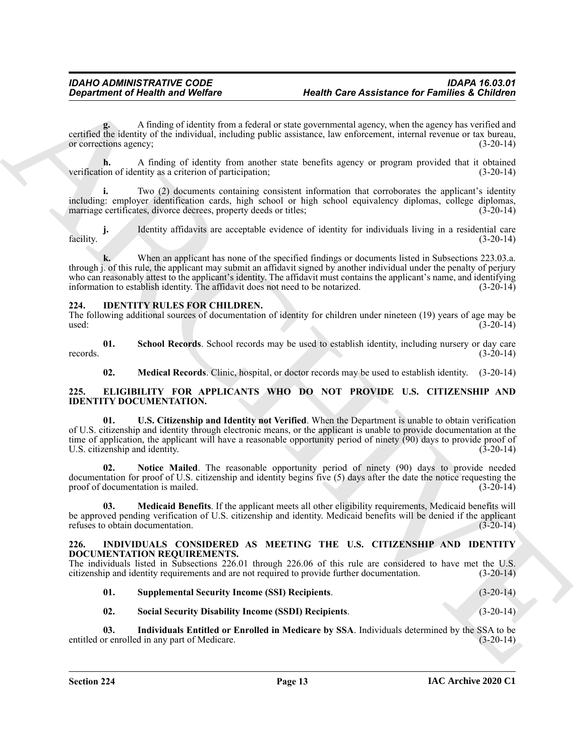**g.** A finding of identity from a federal or state governmental agency, when the agency has verified and certified the identity of the individual, including public assistance, law enforcement, internal revenue or tax bureau, or corrections agency: (3-20-14) or corrections agency;

**h.** A finding of identity from another state benefits agency or program provided that it obtained ion of identity as a criterion of participation; (3-20-14) verification of identity as a criterion of participation;

**i.** Two (2) documents containing consistent information that corroborates the applicant's identity including: employer identification cards, high school or high school equivalency diplomas, college diplomas, marriage certificates, divorce decrees, property deeds or titles; (3-20-14)

**j.** Identity affidavits are acceptable evidence of identity for individuals living in a residential care facility. (3-20-14)

**k.** When an applicant has none of the specified findings or documents listed in Subsections 223.03.a. through j. of this rule, the applicant may submit an affidavit signed by another individual under the penalty of perjury who can reasonably attest to the applicant's identity. The affidavit must contains the applicant's name, and identifying information to establish identity. The affidavit does not need to be notarized.  $(3-20-14)$ 

# <span id="page-12-7"></span><span id="page-12-0"></span>**224. IDENTITY RULES FOR CHILDREN.**

The following additional sources of documentation of identity for children under nineteen (19) years of age may be used: (3-20-14)  $\mu$ used:  $(3-20-14)$ 

**01. School Records**. School records may be used to establish identity, including nursery or day care records.  $(3-20-14)$ 

<span id="page-12-9"></span><span id="page-12-8"></span><span id="page-12-6"></span><span id="page-12-3"></span>**02. Medical Records**. Clinic, hospital, or doctor records may be used to establish identity. (3-20-14)

# <span id="page-12-1"></span>**225. ELIGIBILITY FOR APPLICANTS WHO DO NOT PROVIDE U.S. CITIZENSHIP AND IDENTITY DOCUMENTATION.**

Gegardment of Health wast Welfare<br>
Health Care Assistance for Families at Columbian and the system of the system of the system of the system of the system of the system of the system of the system of the system of the sys **01. U.S. Citizenship and Identity not Verified**. When the Department is unable to obtain verification of U.S. citizenship and identity through electronic means, or the applicant is unable to provide documentation at the time of application, the applicant will have a reasonable opportunity period of ninety  $(90)$  days to provide proof of U.S. citizenship and identity. (3-20-14)

<span id="page-12-5"></span>**02. Notice Mailed**. The reasonable opportunity period of ninety (90) days to provide needed documentation for proof of U.S. citizenship and identity begins five (5) days after the date the notice requesting the proof of documentation is mailed. (3-20-14) proof of documentation is mailed.

<span id="page-12-4"></span>**03. Medicaid Benefits**. If the applicant meets all other eligibility requirements, Medicaid benefits will be approved pending verification of U.S. citizenship and identity. Medicaid benefits will be denied if the applicant refuses to obtain documentation. (3-20-14) refuses to obtain documentation.

# <span id="page-12-10"></span><span id="page-12-2"></span>**226. INDIVIDUALS CONSIDERED AS MEETING THE U.S. CITIZENSHIP AND IDENTITY DOCUMENTATION REQUIREMENTS.**

The individuals listed in Subsections 226.01 through 226.06 of this rule are considered to have met the U.S. citizenship and identity requirements and are not required to provide further documentation. (3-20-14)

<span id="page-12-13"></span>

| 01. | <b>Supplemental Security Income (SSI) Recipients.</b> | $(3-20-14)$ |
|-----|-------------------------------------------------------|-------------|
|-----|-------------------------------------------------------|-------------|

<span id="page-12-12"></span><span id="page-12-11"></span>**02. Social Security Disability Income (SSDI) Recipients**. (3-20-14)

**03. Individuals Entitled or Enrolled in Medicare by SSA**. Individuals determined by the SSA to be entitled or enrolled in any part of Medicare. (3-20-14)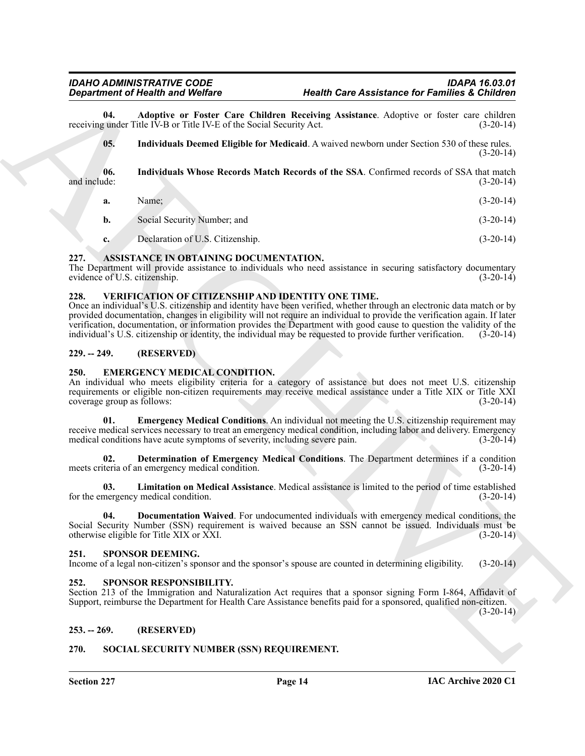**04. Adoptive or Foster Care Children Receiving Assistance**. Adoptive or foster care children *t* under Title IV-B or Title IV-E of the Social Security Act. (3-20-14) receiving under Title IV-B or Title IV-E of the Social Security Act.

<span id="page-13-16"></span><span id="page-13-15"></span><span id="page-13-14"></span>**05. Individuals Deemed Eligible for Medicaid**. A waived newborn under Section 530 of these rules.  $(3-20-14)$ 

**06.** Individuals Whose Records Match Records of the SSA. Confirmed records of SSA that match and include: (3-20-14) and include: (3-20-14) (3-20-14)

- **a.** Name; (3-20-14)
- **b.** Social Security Number; and (3-20-14)
- <span id="page-13-8"></span>**c.** Declaration of U.S. Citizenship. (3-20-14)

# <span id="page-13-0"></span>**227. ASSISTANCE IN OBTAINING DOCUMENTATION.**

The Department will provide assistance to individuals who need assistance in securing satisfactory documentary evidence of U.S. citizenship. (3-20-14)

# <span id="page-13-20"></span><span id="page-13-1"></span>**228. VERIFICATION OF CITIZENSHIP AND IDENTITY ONE TIME.**

*Department of Nearly Weilling*<br> **Example 2006 Weilling Revision Case Assistance for Families & Children Revises Controller Systems (Section 2008)<br>
Note that the INS of the DVS of Revised Systems absolute Advanture Adva** Once an individual's U.S. citizenship and identity have been verified, whether through an electronic data match or by provided documentation, changes in eligibility will not require an individual to provide the verification again. If later verification, documentation, or information provides the Department with good cause to question the validity of the individual's U.S. citizenship or identity, the individual may be requested to provide further verification. (3-20-14)

# <span id="page-13-2"></span>**229. -- 249. (RESERVED)**

# <span id="page-13-9"></span><span id="page-13-3"></span>**250. EMERGENCY MEDICAL CONDITION.**

An individual who meets eligibility criteria for a category of assistance but does not meet U.S. citizenship requirements or eligible non-citizen requirements may receive medical assistance under a Title XIX or Title XXI<br>(3-20-14) coverage group as follows:

<span id="page-13-12"></span>**Emergency Medical Conditions.** An individual not meeting the U.S. citizenship requirement may receive medical services necessary to treat an emergency medical condition, including labor and delivery. Emergency medical conditions have acute symptoms of severity, including severe pain. (3-20-14) medical conditions have acute symptoms of severity, including severe pain.

<span id="page-13-10"></span>**02. Determination of Emergency Medical Conditions**. The Department determines if a condition meets criteria of an emergency medical condition. (3-20-14)

<span id="page-13-13"></span>**03. Limitation on Medical Assistance**. Medical assistance is limited to the period of time established for the emergency medical condition. (3-20-14)

<span id="page-13-11"></span>**04. Documentation Waived**. For undocumented individuals with emergency medical conditions, the Social Security Number (SSN) requirement is waived because an SSN cannot be issued. Individuals must be otherwise eligible for Title XIX or XXI. (3-20-14)

# <span id="page-13-18"></span><span id="page-13-4"></span>**251. SPONSOR DEEMING.**

Income of a legal non-citizen's sponsor and the sponsor's spouse are counted in determining eligibility. (3-20-14)

# <span id="page-13-19"></span><span id="page-13-5"></span>**252. SPONSOR RESPONSIBILITY.**

Section 213 of the Immigration and Naturalization Act requires that a sponsor signing Form I-864, Affidavit of Support, reimburse the Department for Health Care Assistance benefits paid for a sponsored, qualified non-citizen.

 $(3-20-14)$ 

# <span id="page-13-6"></span>**253. -- 269. (RESERVED)**

# <span id="page-13-17"></span><span id="page-13-7"></span>**270. SOCIAL SECURITY NUMBER (SSN) REQUIREMENT.**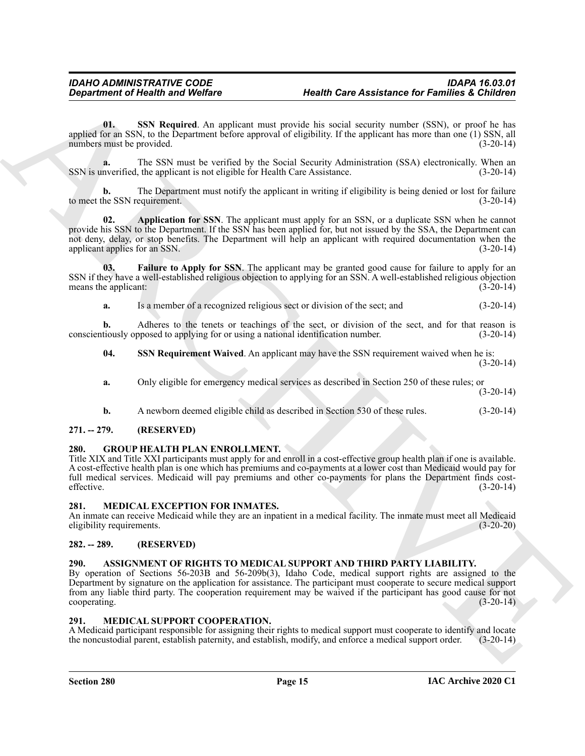<span id="page-14-12"></span>**01. SSN Required**. An applicant must provide his social security number (SSN), or proof he has applied for an SSN, to the Department before approval of eligibility. If the applicant has more than one (1) SSN, all numbers must be provided. (3-20-14) numbers must be provided.

**a.** The SSN must be verified by the Social Security Administration (SSA) electronically. When an nverified, the applicant is not eligible for Health Care Assistance. (3-20-14) SSN is unverified, the applicant is not eligible for Health Care Assistance.

**b.** The Department must notify the applicant in writing if eligibility is being denied or lost for failure to meet the SSN requirement. (3-20-14)

<span id="page-14-10"></span>**02. Application for SSN**. The applicant must apply for an SSN, or a duplicate SSN when he cannot provide his SSN to the Department. If the SSN has been applied for, but not issued by the SSA, the Department can not deny, delay, or stop benefits. The Department will help an applicant with required documentation when the applicant applies for an SSN.  $(3-20-14)$ 

**03. Failure to Apply for SSN**. The applicant may be granted good cause for failure to apply for an SSN if they have a well-established religious objection to applying for an SSN. A well-established religious objection means the applicant: (3-20-14)

<span id="page-14-11"></span>**a.** Is a member of a recognized religious sect or division of the sect; and  $(3-20-14)$ 

**b.** Adheres to the tenets or teachings of the sect, or division of the sect, and for that reason is conscientiously opposed to applying for or using a national identification number. (3-20-14)

<span id="page-14-13"></span>**04. SSN Requirement Waived**. An applicant may have the SSN requirement waived when he is: (3-20-14)

**a.** Only eligible for emergency medical services as described in Section 250 of these rules; or

(3-20-14)

<span id="page-14-7"></span>**b.** A newborn deemed eligible child as described in Section 530 of these rules.  $(3-20-14)$ 

# <span id="page-14-0"></span>**271. -- 279. (RESERVED)**

# <span id="page-14-1"></span>**280. GROUP HEALTH PLAN ENROLLMENT.**

**Equation of Highlin and Wolfare**<br> **Health** Care Assistance for Families a Children<br>
Solution Section 2011 Replaced ARCHIVES and proposed a simple system and a stream of the system of the system and the system and the sys Title XIX and Title XXI participants must apply for and enroll in a cost-effective group health plan if one is available. A cost-effective health plan is one which has premiums and co-payments at a lower cost than Medicaid would pay for full medical services. Medicaid will pay premiums and other co-payments for plans the Department finds cost-<br>effective. (3-20-14) effective. (3-20-14)

# <span id="page-14-8"></span><span id="page-14-2"></span>**281. MEDICAL EXCEPTION FOR INMATES.**

An inmate can receive Medicaid while they are an inpatient in a medical facility. The inmate must meet all Medicaid eligibility requirements. (3-20-20) eligibility requirements.

# <span id="page-14-3"></span>**282. -- 289. (RESERVED)**

# <span id="page-14-6"></span><span id="page-14-4"></span>**290. ASSIGNMENT OF RIGHTS TO MEDICAL SUPPORT AND THIRD PARTY LIABILITY.**

By operation of Sections 56-203B and 56-209b(3), Idaho Code, medical support rights are assigned to the Department by signature on the application for assistance. The participant must cooperate to secure medical support from any liable third party. The cooperation requirement may be waived if the participant has good cause for not cooperating. (3-20-14)

# <span id="page-14-9"></span><span id="page-14-5"></span>**291. MEDICAL SUPPORT COOPERATION.**

A Medicaid participant responsible for assigning their rights to medical support must cooperate to identify and locate the noncustodial parent, establish paternity, and establish, modify, and enforce a medical support order. (3-20-14)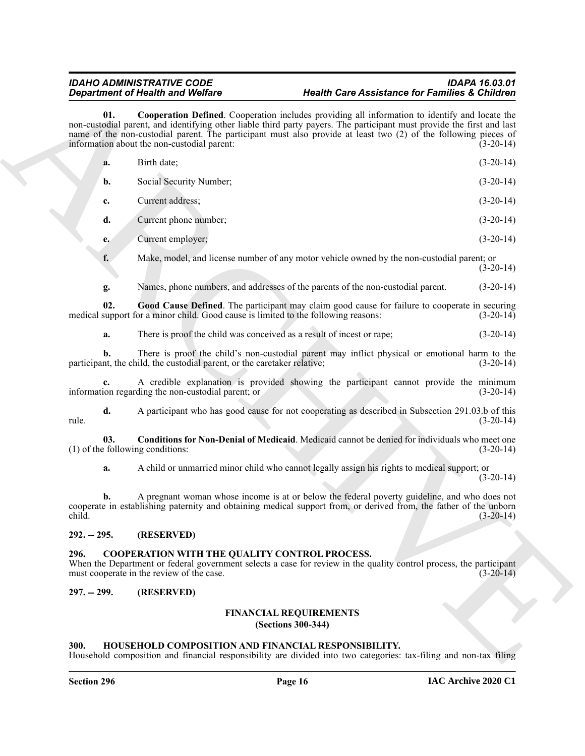<span id="page-15-10"></span><span id="page-15-9"></span>

|               | <b>Department of Health and Welfare</b> |                                                                                                                                                                                                                                                                                                                                                                                            | <b>Health Care Assistance for Families &amp; Children</b> |  |
|---------------|-----------------------------------------|--------------------------------------------------------------------------------------------------------------------------------------------------------------------------------------------------------------------------------------------------------------------------------------------------------------------------------------------------------------------------------------------|-----------------------------------------------------------|--|
|               | 01.                                     | Cooperation Defined. Cooperation includes providing all information to identify and locate the<br>non-custodial parent, and identifying other liable third party payers. The participant must provide the first and last<br>name of the non-custodial parent. The participant must also provide at least two (2) of the following pieces of<br>information about the non-custodial parent: | $(3-20-14)$                                               |  |
|               | a.                                      | Birth date;                                                                                                                                                                                                                                                                                                                                                                                | $(3-20-14)$                                               |  |
|               | b.                                      | Social Security Number;                                                                                                                                                                                                                                                                                                                                                                    | $(3-20-14)$                                               |  |
|               | c.                                      | Current address;                                                                                                                                                                                                                                                                                                                                                                           | $(3-20-14)$                                               |  |
|               | d.                                      | Current phone number;                                                                                                                                                                                                                                                                                                                                                                      | $(3-20-14)$                                               |  |
|               | e.                                      | Current employer;                                                                                                                                                                                                                                                                                                                                                                          | $(3-20-14)$                                               |  |
|               | f.                                      | Make, model, and license number of any motor vehicle owned by the non-custodial parent; or                                                                                                                                                                                                                                                                                                 | $(3-20-14)$                                               |  |
|               | g.                                      | Names, phone numbers, and addresses of the parents of the non-custodial parent.                                                                                                                                                                                                                                                                                                            | $(3-20-14)$                                               |  |
|               | 02.                                     | Good Cause Defined. The participant may claim good cause for failure to cooperate in securing<br>medical support for a minor child. Good cause is limited to the following reasons:                                                                                                                                                                                                        | $(3-20-14)$                                               |  |
|               | a.                                      | There is proof the child was conceived as a result of incest or rape;                                                                                                                                                                                                                                                                                                                      | $(3-20-14)$                                               |  |
|               | b.                                      | There is proof the child's non-custodial parent may inflict physical or emotional harm to the<br>participant, the child, the custodial parent, or the caretaker relative;                                                                                                                                                                                                                  | $(3-20-14)$                                               |  |
|               |                                         | A credible explanation is provided showing the participant cannot provide the minimum<br>information regarding the non-custodial parent; or                                                                                                                                                                                                                                                | $(3-20-14)$                                               |  |
| rule.         | d.                                      | A participant who has good cause for not cooperating as described in Subsection 291.03.b of this                                                                                                                                                                                                                                                                                           | $(3-20-14)$                                               |  |
|               | 03.                                     | Conditions for Non-Denial of Medicaid. Medicaid cannot be denied for individuals who meet one<br>(1) of the following conditions:                                                                                                                                                                                                                                                          | $(3-20-14)$                                               |  |
|               | a.                                      | A child or unmarried minor child who cannot legally assign his rights to medical support; or                                                                                                                                                                                                                                                                                               | $(3-20-14)$                                               |  |
| child.        | b.                                      | A pregnant woman whose income is at or below the federal poverty guideline, and who does not<br>cooperate in establishing paternity and obtaining medical support from, or derived from, the father of the unborn                                                                                                                                                                          | $(3-20-14)$                                               |  |
| $292. - 295.$ |                                         | (RESERVED)                                                                                                                                                                                                                                                                                                                                                                                 |                                                           |  |
| 296.          |                                         | COOPERATION WITH THE QUALITY CONTROL PROCESS.<br>When the Department or federal government selects a case for review in the quality control process, the participant<br>must cooperate in the review of the case.                                                                                                                                                                          | $(3-20-14)$                                               |  |
| $297. - 299.$ |                                         | (RESERVED)                                                                                                                                                                                                                                                                                                                                                                                 |                                                           |  |
|               |                                         | <b>FINANCIAL REQUIREMENTS</b><br>(Sections 300-344)                                                                                                                                                                                                                                                                                                                                        |                                                           |  |

# <span id="page-15-8"></span><span id="page-15-0"></span>**292. -- 295. (RESERVED)**

# <span id="page-15-5"></span><span id="page-15-1"></span>**296. COOPERATION WITH THE QUALITY CONTROL PROCESS.**

# <span id="page-15-3"></span><span id="page-15-2"></span>**297. -- 299. (RESERVED)**

# <span id="page-15-6"></span>**FINANCIAL REQUIREMENTS (Sections 300-344)**

# <span id="page-15-7"></span><span id="page-15-4"></span>**300. HOUSEHOLD COMPOSITION AND FINANCIAL RESPONSIBILITY.**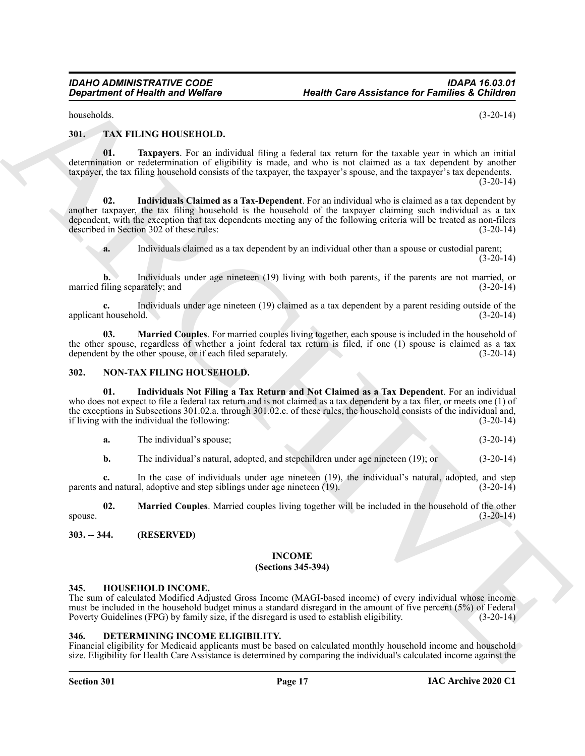<span id="page-16-12"></span>households. (3-20-14)

<span id="page-16-0"></span>**301. TAX FILING HOUSEHOLD.**

<span id="page-16-15"></span>**01. Taxpayers**. For an individual filing a federal tax return for the taxable year in which an initial determination or redetermination of eligibility is made, and who is not claimed as a tax dependent by another taxpayer, the tax filing household consists of the taxpayer, the taxpayer's spouse, and the taxpayer's tax dependents.  $(3-20-14)$ 

Gegardment of Health and Wolfare Health Care Assistance for Families & Children<br>
Mus. TXX FII NV, HOUSSELV III)<br>
ARCHIVE ARCHIVE AND CONFIDENT IS a mapping of the same in the same in the same in the same of the same in th **02. Individuals Claimed as a Tax-Dependent**. For an individual who is claimed as a tax dependent by another taxpayer, the tax filing household is the household of the taxpayer claiming such individual as a tax dependent, with the exception that tax dependents meeting any of the following criteria will be treated as non-filers described in Section 302 of these rules: (3-20-14) described in Section 302 of these rules:

<span id="page-16-13"></span>**a.** Individuals claimed as a tax dependent by an individual other than a spouse or custodial parent; (3-20-14)

**b.** Individuals under age nineteen (19) living with both parents, if the parents are not married, or married filing separately; and (3-20-14)

Individuals under age nineteen (19) claimed as a tax dependent by a parent residing outside of the ld. (3-20-14) applicant household.

<span id="page-16-14"></span>**03. Married Couples**. For married couples living together, each spouse is included in the household of the other spouse, regardless of whether a joint federal tax return is filed, if one (1) spouse is claimed as a tax dependent by the other spouse, or if each filed separately.  $(3-20-14)$ dependent by the other spouse, or if each filed separately.

# <span id="page-16-9"></span><span id="page-16-1"></span>**302. NON-TAX FILING HOUSEHOLD.**

**01. Individuals Not Filing a Tax Return and Not Claimed as a Tax Dependent**. For an individual who does not expect to file a federal tax return and is not claimed as a tax dependent by a tax filer, or meets one (1) of the exceptions in Subsections 301.02.a. through 301.02.c. of these rules, the household consists of the individual and, if living with the individual the following: (3-20-14)

<span id="page-16-10"></span>**a.** The individual's spouse; (3-20-14)

<span id="page-16-11"></span>**b.** The individual's natural, adopted, and stepchildren under age nineteen (19); or (3-20-14)

**c.** In the case of individuals under age nineteen (19), the individual's natural, adopted, and step nd natural, adoptive and step siblings under age nineteen (19). parents and natural, adoptive and step siblings under age nineteen  $(19)$ .

**02. Married Couples**. Married couples living together will be included in the household of the other spouse.  $(3-20-14)$ 

<span id="page-16-3"></span><span id="page-16-2"></span>**303. -- 344. (RESERVED)**

# <span id="page-16-8"></span>**INCOME**

# **(Sections 345-394)**

# <span id="page-16-7"></span><span id="page-16-4"></span>**345. HOUSEHOLD INCOME.**

The sum of calculated Modified Adjusted Gross Income (MAGI-based income) of every individual whose income must be included in the household budget minus a standard disregard in the amount of five percent (5%) of Federal Poverty Guidelines (FPG) by family size, if the disregard is used to establish eligibility. (3-20-14)

# <span id="page-16-6"></span><span id="page-16-5"></span>**346. DETERMINING INCOME ELIGIBILITY.**

Financial eligibility for Medicaid applicants must be based on calculated monthly household income and household size. Eligibility for Health Care Assistance is determined by comparing the individual's calculated income against the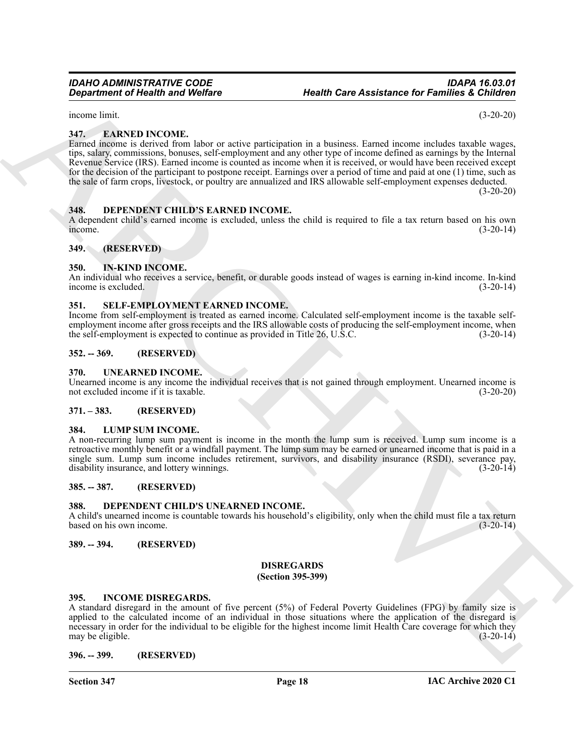# *IDAHO ADMINISTRATIVE CODE IDAPA 16.03.01 Department of Health and Welfare Health Care Assistance for Families & Children*

income limit. (3-20-20)

# <span id="page-17-18"></span><span id="page-17-0"></span>**347. EARNED INCOME.**

Gegardment of Health was Wolfare<br>
Health Care Assistance for Families a Children<br>
Here, and Y Vie The Health Counter and the proportion in a bottless heard lexence and level to specific<br>
Level Family was a distribution, b Earned income is derived from labor or active participation in a business. Earned income includes taxable wages, tips, salary, commissions, bonuses, self-employment and any other type of income defined as earnings by the Internal Revenue Service (IRS). Earned income is counted as income when it is received, or would have been received except for the decision of the participant to postpone receipt. Earnings over a period of time and paid at one (1) time, such as the sale of farm crops, livestock, or poultry are annualized and IRS allowable self-employment expenses deducted.  $(3-20-20)$ 

<span id="page-17-16"></span><span id="page-17-1"></span>**348. DEPENDENT CHILD'S EARNED INCOME.**

A dependent child's earned income is excluded, unless the child is required to file a tax return based on his own income.  $i$  income.  $(3-20-14)$ 

<span id="page-17-2"></span>**349. (RESERVED)**

# <span id="page-17-20"></span><span id="page-17-3"></span>**350. IN-KIND INCOME.**

An individual who receives a service, benefit, or durable goods instead of wages is earning in-kind income. In-kind income is excluded. (3-20-14)

# <span id="page-17-22"></span><span id="page-17-4"></span>**351. SELF-EMPLOYMENT EARNED INCOME.**

Income from self-employment is treated as earned income. Calculated self-employment income is the taxable selfemployment income after gross receipts and the IRS allowable costs of producing the self-employment income, when the self-employment is expected to continue as provided in Title 26, U.S.C. (3-20-14)

# <span id="page-17-5"></span>**352. -- 369. (RESERVED)**

# <span id="page-17-23"></span><span id="page-17-6"></span>**370. UNEARNED INCOME.**

Unearned income is any income the individual receives that is not gained through employment. Unearned income is not excluded income if it is taxable. (3-20-20)

# <span id="page-17-7"></span>**371. – 383. (RESERVED)**

# <span id="page-17-21"></span><span id="page-17-8"></span>**384. LUMP SUM INCOME.**

A non-recurring lump sum payment is income in the month the lump sum is received. Lump sum income is a retroactive monthly benefit or a windfall payment. The lump sum may be earned or unearned income that is paid in a single sum. Lump sum income includes retirement, survivors, and disability insurance (RSDI), severance pay, disability insurance, and lottery winnings. (3-20-14)

# <span id="page-17-9"></span>**385. -- 387. (RESERVED)**

# <span id="page-17-15"></span><span id="page-17-10"></span>**388. DEPENDENT CHILD'S UNEARNED INCOME.**

A child's unearned income is countable towards his household's eligibility, only when the child must file a tax return based on his own income.

# <span id="page-17-12"></span><span id="page-17-11"></span>**389. -- 394. (RESERVED)**

# <span id="page-17-17"></span>**DISREGARDS**

# **(Section 395-399)**

# <span id="page-17-19"></span><span id="page-17-13"></span>**395. INCOME DISREGARDS.**

A standard disregard in the amount of five percent (5%) of Federal Poverty Guidelines (FPG) by family size is applied to the calculated income of an individual in those situations where the application of the disregard is necessary in order for the individual to be eligible for the highest income limit Health Care coverage for which they may be eligible.  $(3-20-14)$ 

<span id="page-17-14"></span>**396. -- 399. (RESERVED)**

**Section 347 Page 18**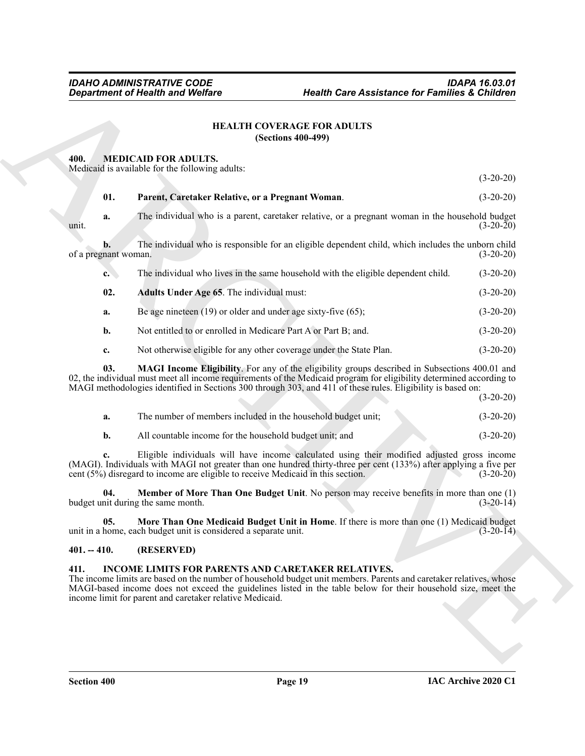# <span id="page-18-4"></span>**HEALTH COVERAGE FOR ADULTS (Sections 400-499)**

# <span id="page-18-9"></span><span id="page-18-6"></span><span id="page-18-1"></span><span id="page-18-0"></span>**400. MEDICAID FOR ADULTS.**

| 400.<br>01.<br>a.<br>unit.<br>b.<br>of a pregnant woman. | <b>MEDICAID FOR ADULTS.</b><br>Medicaid is available for the following adults:<br>Parent, Caretaker Relative, or a Pregnant Woman.                                                                                                                                                                                                                    |                                                                                                 | $(3-20-20)$ |
|----------------------------------------------------------|-------------------------------------------------------------------------------------------------------------------------------------------------------------------------------------------------------------------------------------------------------------------------------------------------------------------------------------------------------|-------------------------------------------------------------------------------------------------|-------------|
|                                                          |                                                                                                                                                                                                                                                                                                                                                       |                                                                                                 |             |
|                                                          |                                                                                                                                                                                                                                                                                                                                                       |                                                                                                 |             |
|                                                          |                                                                                                                                                                                                                                                                                                                                                       |                                                                                                 | $(3-20-20)$ |
|                                                          |                                                                                                                                                                                                                                                                                                                                                       | The individual who is a parent, caretaker relative, or a pregnant woman in the household budget | $(3-20-20)$ |
|                                                          | The individual who is responsible for an eligible dependent child, which includes the unborn child                                                                                                                                                                                                                                                    |                                                                                                 | $(3-20-20)$ |
| $\mathbf{c}$ .                                           | The individual who lives in the same household with the eligible dependent child.                                                                                                                                                                                                                                                                     |                                                                                                 | $(3-20-20)$ |
| 02.                                                      | Adults Under Age 65. The individual must:                                                                                                                                                                                                                                                                                                             |                                                                                                 | $(3-20-20)$ |
| a.                                                       | Be age nineteen $(19)$ or older and under age sixty-five $(65)$ ;                                                                                                                                                                                                                                                                                     |                                                                                                 | $(3-20-20)$ |
| b.                                                       | Not entitled to or enrolled in Medicare Part A or Part B; and.                                                                                                                                                                                                                                                                                        |                                                                                                 | $(3-20-20)$ |
| c.                                                       | Not otherwise eligible for any other coverage under the State Plan.                                                                                                                                                                                                                                                                                   |                                                                                                 | $(3-20-20)$ |
| 03.                                                      | <b>MAGI Income Eligibility</b> . For any of the eligibility groups described in Subsections 400.01 and<br>02, the individual must meet all income requirements of the Medicaid program for eligibility determined according to<br>MAGI methodologies identified in Sections 300 through 303, and 411 of these rules. Eligibility is based on:         |                                                                                                 | $(3-20-20)$ |
| a.                                                       | The number of members included in the household budget unit;                                                                                                                                                                                                                                                                                          |                                                                                                 | $(3-20-20)$ |
| $\mathbf{b}$ .                                           | All countable income for the household budget unit; and                                                                                                                                                                                                                                                                                               |                                                                                                 | $(3-20-20)$ |
| c.                                                       | Eligible individuals will have income calculated using their modified adjusted gross income<br>(MAGI). Individuals with MAGI not greater than one hundred thirty-three per cent (133%) after applying a five per<br>cent $(5\%)$ disregard to income are eligible to receive Medicaid in this section.                                                |                                                                                                 | $(3-20-20)$ |
| 04.                                                      | <b>Member of More Than One Budget Unit.</b> No person may receive benefits in more than one (1)<br>budget unit during the same month.                                                                                                                                                                                                                 |                                                                                                 | $(3-20-14)$ |
| 05.                                                      | More Than One Medicaid Budget Unit in Home. If there is more than one (1) Medicaid budget<br>unit in a home, each budget unit is considered a separate unit.                                                                                                                                                                                          |                                                                                                 | $(3-20-14)$ |
| $401. - 410.$                                            | (RESERVED)                                                                                                                                                                                                                                                                                                                                            |                                                                                                 |             |
| 411.                                                     | INCOME LIMITS FOR PARENTS AND CARETAKER RELATIVES.<br>The income limits are based on the number of household budget unit members. Parents and caretaker relatives, whose<br>MAGI-based income does not exceed the guidelines listed in the table below for their household size, meet the<br>income limit for parent and caretaker relative Medicaid. |                                                                                                 |             |

<span id="page-18-10"></span><span id="page-18-8"></span><span id="page-18-7"></span>

| The number of members included in the household budget unit; | $(3-20-20)$ |
|--------------------------------------------------------------|-------------|
| All countable income for the household budget unit; and      | $(3-20-20)$ |

# <span id="page-18-11"></span><span id="page-18-2"></span>**401. -- 410. (RESERVED)**

# <span id="page-18-5"></span><span id="page-18-3"></span>**411. INCOME LIMITS FOR PARENTS AND CARETAKER RELATIVES.**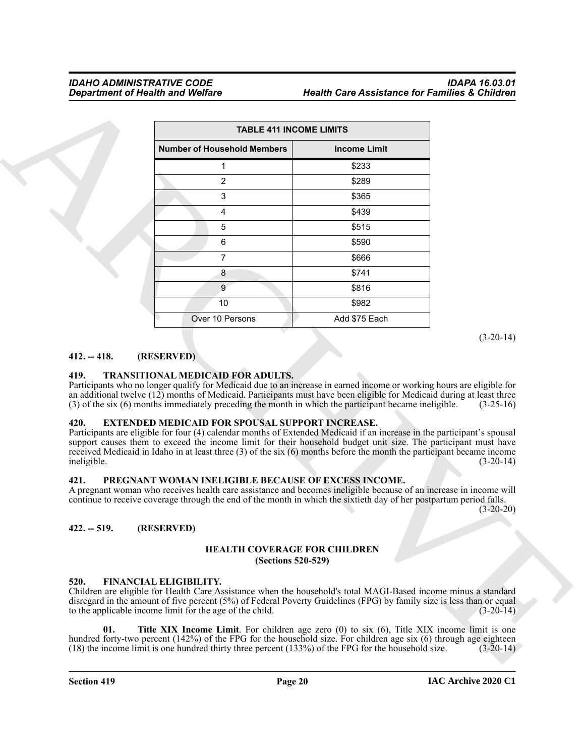|                                                                               | <b>TABLE 411 INCOME LIMITS</b>                                                                                                                                                                                                                                                                                                                                                                                                                                                                                                                                                                                                                                                                                                      |                     |                            |
|-------------------------------------------------------------------------------|-------------------------------------------------------------------------------------------------------------------------------------------------------------------------------------------------------------------------------------------------------------------------------------------------------------------------------------------------------------------------------------------------------------------------------------------------------------------------------------------------------------------------------------------------------------------------------------------------------------------------------------------------------------------------------------------------------------------------------------|---------------------|----------------------------|
|                                                                               | <b>Number of Household Members</b>                                                                                                                                                                                                                                                                                                                                                                                                                                                                                                                                                                                                                                                                                                  | <b>Income Limit</b> |                            |
|                                                                               | 1                                                                                                                                                                                                                                                                                                                                                                                                                                                                                                                                                                                                                                                                                                                                   | \$233               |                            |
|                                                                               | 2                                                                                                                                                                                                                                                                                                                                                                                                                                                                                                                                                                                                                                                                                                                                   | \$289               |                            |
|                                                                               | 3                                                                                                                                                                                                                                                                                                                                                                                                                                                                                                                                                                                                                                                                                                                                   | \$365               |                            |
|                                                                               | 4                                                                                                                                                                                                                                                                                                                                                                                                                                                                                                                                                                                                                                                                                                                                   | \$439               |                            |
|                                                                               | 5                                                                                                                                                                                                                                                                                                                                                                                                                                                                                                                                                                                                                                                                                                                                   | \$515               |                            |
|                                                                               | 6                                                                                                                                                                                                                                                                                                                                                                                                                                                                                                                                                                                                                                                                                                                                   | \$590               |                            |
|                                                                               | $\overline{7}$                                                                                                                                                                                                                                                                                                                                                                                                                                                                                                                                                                                                                                                                                                                      | \$666               |                            |
|                                                                               | 8                                                                                                                                                                                                                                                                                                                                                                                                                                                                                                                                                                                                                                                                                                                                   | \$741               |                            |
|                                                                               | 9                                                                                                                                                                                                                                                                                                                                                                                                                                                                                                                                                                                                                                                                                                                                   | \$816               |                            |
|                                                                               | 10                                                                                                                                                                                                                                                                                                                                                                                                                                                                                                                                                                                                                                                                                                                                  | \$982               |                            |
|                                                                               | Over 10 Persons                                                                                                                                                                                                                                                                                                                                                                                                                                                                                                                                                                                                                                                                                                                     | Add \$75 Each       |                            |
|                                                                               |                                                                                                                                                                                                                                                                                                                                                                                                                                                                                                                                                                                                                                                                                                                                     |                     | $(3-20-14)$                |
|                                                                               | (RESERVED)<br>TRANSITIONAL MEDICAID FOR ADULTS.<br>Participants who no longer qualify for Medicaid due to an increase in earned income or working hours are eligible for<br>an additional twelve (12) months of Medicaid. Participants must have been eligible for Medicaid during at least three<br>(3) of the six (6) months immediately preceding the month in which the participant became ineligible.                                                                                                                                                                                                                                                                                                                          |                     | $(3-25-16)$                |
|                                                                               | <b>EXTENDED MEDICAID FOR SPOUSAL SUPPORT INCREASE.</b><br>Participants are eligible for four (4) calendar months of Extended Medicaid if an increase in the participant's spousal<br>support causes them to exceed the income limit for their household budget unit size. The participant must have<br>received Medicaid in Idaho in at least three $(3)$ of the six $(6)$ months before the month the participant became income<br>PREGNANT WOMAN INELIGIBLE BECAUSE OF EXCESS INCOME.<br>A pregnant woman who receives health care assistance and becomes ineligible because of an increase in income will<br>continue to receive coverage through the end of the month in which the sixtieth day of her postpartum period falls. |                     | $(3-20-14)$<br>$(3-20-20)$ |
|                                                                               | (RESERVED)                                                                                                                                                                                                                                                                                                                                                                                                                                                                                                                                                                                                                                                                                                                          |                     |                            |
|                                                                               | <b>HEALTH COVERAGE FOR CHILDREN</b><br>(Sections 520-529)                                                                                                                                                                                                                                                                                                                                                                                                                                                                                                                                                                                                                                                                           |                     |                            |
| $412. - 418.$<br>419.<br>420.<br>ineligible.<br>421.<br>$422. - 519.$<br>520. | FINANCIAL ELIGIBILITY.<br>Children are eligible for Health Care Assistance when the household's total MAGI-Based income minus a standard<br>disregard in the amount of five percent (5%) of Federal Poverty Guidelines (FPG) by family size is less than or equal<br>to the applicable income limit for the age of the child.                                                                                                                                                                                                                                                                                                                                                                                                       |                     | $(3-20-14)$                |

# <span id="page-19-0"></span>**412. -- 418. (RESERVED)**

# <span id="page-19-12"></span><span id="page-19-1"></span>**419. TRANSITIONAL MEDICAID FOR ADULTS.**

# <span id="page-19-7"></span><span id="page-19-2"></span>**420. EXTENDED MEDICAID FOR SPOUSAL SUPPORT INCREASE.**

# <span id="page-19-11"></span><span id="page-19-3"></span>**421. PREGNANT WOMAN INELIGIBLE BECAUSE OF EXCESS INCOME.**

# <span id="page-19-5"></span><span id="page-19-4"></span>**422. -- 519. (RESERVED)**

# <span id="page-19-10"></span>**HEALTH COVERAGE FOR CHILDREN (Sections 520-529)**

# <span id="page-19-9"></span><span id="page-19-8"></span><span id="page-19-6"></span>**520. FINANCIAL ELIGIBILITY.**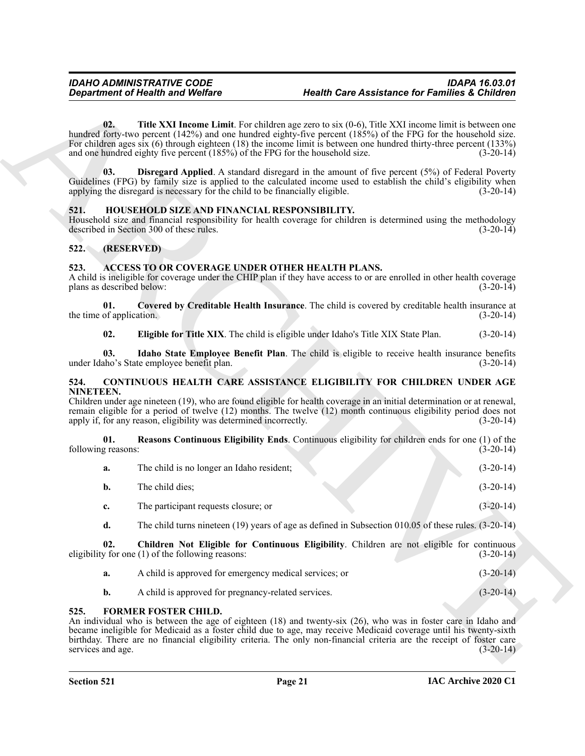# <span id="page-20-15"></span><span id="page-20-13"></span><span id="page-20-12"></span><span id="page-20-0"></span>**521. HOUSEHOLD SIZE AND FINANCIAL RESPONSIBILITY.**

# <span id="page-20-1"></span>**522. (RESERVED)**

# <span id="page-20-6"></span><span id="page-20-5"></span><span id="page-20-2"></span>**523. ACCESS TO OR COVERAGE UNDER OTHER HEALTH PLANS.**

# <span id="page-20-11"></span><span id="page-20-9"></span><span id="page-20-8"></span><span id="page-20-7"></span><span id="page-20-3"></span>**524. CONTINUOUS HEALTH CARE ASSISTANCE ELIGIBILITY FOR CHILDREN UNDER AGE NINETEEN.**

|                                   | <b>Department of Health and Welfare</b>                                                                                                              | <b>Health Care Assistance for Families &amp; Children</b>                                                                                                                                                                                                                                                                                                   |             |
|-----------------------------------|------------------------------------------------------------------------------------------------------------------------------------------------------|-------------------------------------------------------------------------------------------------------------------------------------------------------------------------------------------------------------------------------------------------------------------------------------------------------------------------------------------------------------|-------------|
| 02.                               | and one hundred eighty five percent (185%) of the FPG for the household size.                                                                        | <b>Title XXI Income Limit.</b> For children age zero to six $(0-6)$ , Title XXI income limit is between one<br>hundred forty-two percent (142%) and one hundred eighty-five percent (185%) of the FPG for the household size.<br>For children ages six $(6)$ through eighteen $(18)$ the income limit is between one hundred thirty-three percent $(133\%)$ | $(3-20-14)$ |
| 03.                               | applying the disregard is necessary for the child to be financially eligible.                                                                        | <b>Disregard Applied.</b> A standard disregard in the amount of five percent (5%) of Federal Poverty<br>Guidelines (FPG) by family size is applied to the calculated income used to establish the child's eligibility when                                                                                                                                  | $(3-20-14)$ |
| 521.                              | HOUSEHOLD SIZE AND FINANCIAL RESPONSIBILITY.<br>described in Section 300 of these rules.                                                             | Household size and financial responsibility for health coverage for children is determined using the methodology                                                                                                                                                                                                                                            | $(3-20-14)$ |
| 522.                              | (RESERVED)                                                                                                                                           |                                                                                                                                                                                                                                                                                                                                                             |             |
| 523.<br>plans as described below: | ACCESS TO OR COVERAGE UNDER OTHER HEALTH PLANS.                                                                                                      | A child is ineligible for coverage under the CHIP plan if they have access to or are enrolled in other health coverage                                                                                                                                                                                                                                      | $(3-20-14)$ |
| 01.<br>the time of application.   |                                                                                                                                                      | Covered by Creditable Health Insurance. The child is covered by creditable health insurance at                                                                                                                                                                                                                                                              | $(3-20-14)$ |
| 02.                               |                                                                                                                                                      | Eligible for Title XIX. The child is eligible under Idaho's Title XIX State Plan.                                                                                                                                                                                                                                                                           | $(3-20-14)$ |
| 03.                               | under Idaho's State employee benefit plan.                                                                                                           | Idaho State Employee Benefit Plan. The child is eligible to receive health insurance benefits                                                                                                                                                                                                                                                               | $(3-20-14)$ |
| 524.<br>NINETEEN.                 | apply if, for any reason, eligibility was determined incorrectly.                                                                                    | CONTINUOUS HEALTH CARE ASSISTANCE ELIGIBILITY FOR CHILDREN UNDER AGE<br>Children under age nineteen (19), who are found eligible for health coverage in an initial determination or at renewal,<br>remain eligible for a period of twelve (12) months. The twelve (12) month continuous eligibility period does not                                         | $(3-20-14)$ |
| 01.<br>following reasons:         |                                                                                                                                                      | Reasons Continuous Eligibility Ends. Continuous eligibility for children ends for one (1) of the                                                                                                                                                                                                                                                            | $(3-20-14)$ |
| a.                                | The child is no longer an Idaho resident;                                                                                                            |                                                                                                                                                                                                                                                                                                                                                             | $(3-20-14)$ |
| b.                                | The child dies;                                                                                                                                      |                                                                                                                                                                                                                                                                                                                                                             | $(3-20-14)$ |
| c.                                | The participant requests closure; or                                                                                                                 |                                                                                                                                                                                                                                                                                                                                                             | $(3-20-14)$ |
| d.                                |                                                                                                                                                      | The child turns nineteen (19) years of age as defined in Subsection 010.05 of these rules. $(3-20-14)$                                                                                                                                                                                                                                                      |             |
| 02.                               | eligibility for one (1) of the following reasons:                                                                                                    | Children Not Eligible for Continuous Eligibility. Children are not eligible for continuous                                                                                                                                                                                                                                                                  | $(3-20-14)$ |
| a.                                | A child is approved for emergency medical services; or                                                                                               |                                                                                                                                                                                                                                                                                                                                                             | $(3-20-14)$ |
| b.                                | A child is approved for pregnancy-related services.                                                                                                  |                                                                                                                                                                                                                                                                                                                                                             | $(3-20-14)$ |
| 525.                              | <b>FORMER FOSTER CHILD.</b><br>birthday. There are no financial eligibility criteria. The only non-financial criteria are the receipt of foster care | An individual who is between the age of eighteen (18) and twenty-six (26), who was in foster care in Idaho and<br>became ineligible for Medicaid as a foster child due to age, may receive Medicaid coverage until his twenty-sixth                                                                                                                         |             |

- <span id="page-20-10"></span>**a.** A child is approved for emergency medical services; or (3-20-14)
- <span id="page-20-14"></span>**b.** A child is approved for pregnancy-related services. (3-20-14)

# <span id="page-20-4"></span>**525. FORMER FOSTER CHILD.**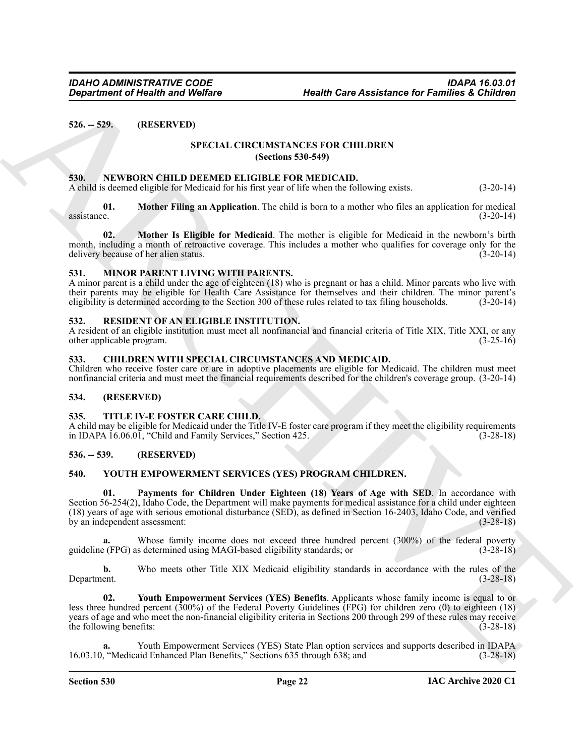# <span id="page-21-1"></span><span id="page-21-0"></span>**526. -- 529. (RESERVED)**

# <span id="page-21-16"></span>**SPECIAL CIRCUMSTANCES FOR CHILDREN (Sections 530-549)**

# <span id="page-21-12"></span><span id="page-21-2"></span>**530. NEWBORN CHILD DEEMED ELIGIBLE FOR MEDICAID.**

<span id="page-21-13"></span>A child is deemed eligible for Medicaid for his first year of life when the following exists. (3-20-14)

**01. Mother Filing an Application**. The child is born to a mother who files an application for medical  $\frac{1}{2}$  assistance. (3-20-14)

<span id="page-21-14"></span>**02. Mother Is Eligible for Medicaid**. The mother is eligible for Medicaid in the newborn's birth month, including a month of retroactive coverage. This includes a mother who qualifies for coverage only for the delivery because of her alien status. (3-20-14)

# <span id="page-21-11"></span><span id="page-21-3"></span>**531. MINOR PARENT LIVING WITH PARENTS.**

A minor parent is a child under the age of eighteen (18) who is pregnant or has a child. Minor parents who live with their parents may be eligible for Health Care Assistance for themselves and their children. The minor parent's eligibility is determined according to the Section 300 of these rules related to tax filing households. (3-20-14)

# <span id="page-21-15"></span><span id="page-21-4"></span>**532. RESIDENT OF AN ELIGIBLE INSTITUTION.**

A resident of an eligible institution must meet all nonfinancial and financial criteria of Title XIX, Title XXI, or any other applicable program. (3-25-16)

# <span id="page-21-10"></span><span id="page-21-5"></span>**533. CHILDREN WITH SPECIAL CIRCUMSTANCES AND MEDICAID.**

Children who receive foster care or are in adoptive placements are eligible for Medicaid. The children must meet nonfinancial criteria and must meet the financial requirements described for the children's coverage group. (3-20-14)

# <span id="page-21-6"></span>**534. (RESERVED)**

# <span id="page-21-17"></span><span id="page-21-7"></span>**535. TITLE IV-E FOSTER CARE CHILD.**

A child may be eligible for Medicaid under the Title IV-E foster care program if they meet the eligibility requirements in IDAPA 16.06.01, "Child and Family Services," Section 425. (3-28-18)

# <span id="page-21-8"></span>**536. -- 539. (RESERVED)**

# <span id="page-21-19"></span><span id="page-21-18"></span><span id="page-21-9"></span>**540. YOUTH EMPOWERMENT SERVICES (YES) PROGRAM CHILDREN.**

Gegardment of Health was Wolfare<br>
SRL - 529. (RESERVIED) SPECIAL CIRCUMSTANCES FOR CHITIBERY<br>
SRL - SPECIAL CIRCUMSTANCES FOR CHITIBERY<br>
SRL - SPECIAL CIRCUMSTANCES FOR CHITIBERY<br>
SRL - ARCHIVED DEVELOP (DEL TRESS FOR ACT **01. Payments for Children Under Eighteen (18) Years of Age with SED**. In accordance with Section 56-254(2), Idaho Code, the Department will make payments for medical assistance for a child under eighteen (18) years of age with serious emotional disturbance (SED), as defined in Section 16-2403, Idaho Code, and verified by an independent assessment: (3-28-18)

Whose family income does not exceed three hundred percent (300%) of the federal poverty s determined using MAGI-based eligibility standards; or (3-28-18) guideline (FPG) as determined using MAGI-based eligibility standards; or (3-28-18)

**b.** Who meets other Title XIX Medicaid eligibility standards in accordance with the rules of the Department. (3-28-18) Department. (3-28-18)

<span id="page-21-20"></span>**02. Youth Empowerment Services (YES) Benefits**. Applicants whose family income is equal to or less three hundred percent (300%) of the Federal Poverty Guidelines (FPG) for children zero (0) to eighteen (18) years of age and who meet the non-financial eligibility criteria in Sections 200 through 299 of these rules may receive the following benefits:  $(3-28-18)$ 

**a.** Youth Empowerment Services (YES) State Plan option services and supports described in IDAPA 16.03.10, "Medicaid Enhanced Plan Benefits," Sections 635 through 638; and (3-28-18)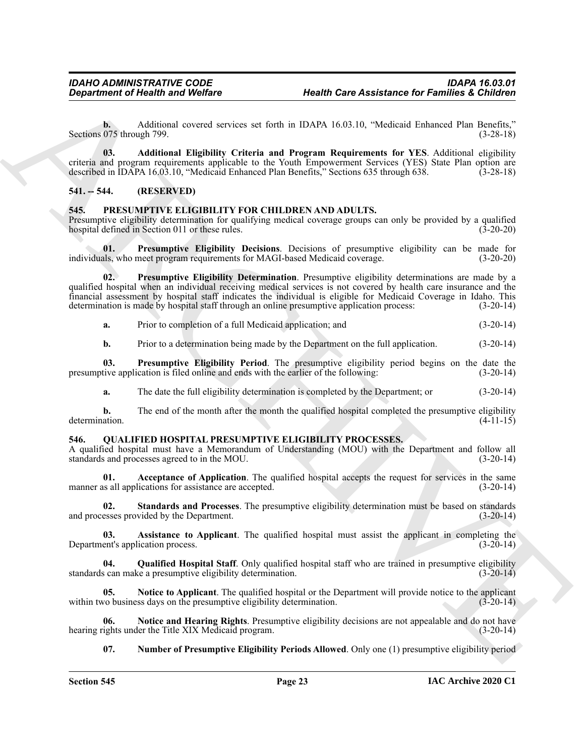**b.** Additional covered services set forth in IDAPA 16.03.10, "Medicaid Enhanced Plan Benefits," Sections 075 through 799. (3-28-18)

<span id="page-22-15"></span>**03. Additional Eligibility Criteria and Program Requirements for YES**. Additional eligibility criteria and program requirements applicable to the Youth Empowerment Services (YES) State Plan option are described in IDAPA 16.03.10, "Medicaid Enhanced Plan Benefits," Sections 635 through 638. (3-28-18) described in IDAPA 16.03.10, "Medicaid Enhanced Plan Benefits," Sections 635 through 638.

# <span id="page-22-0"></span>**541. -- 544. (RESERVED)**

# <span id="page-22-3"></span><span id="page-22-1"></span>**545. PRESUMPTIVE ELIGIBILITY FOR CHILDREN AND ADULTS.**

Presumptive eligibility determination for qualifying medical coverage groups can only be provided by a qualified hospital defined in Section 011 or these rules. (3-20-20) hospital defined in Section 011 or these rules.

<span id="page-22-4"></span>**01. Presumptive Eligibility Decisions**. Decisions of presumptive eligibility can be made for individuals, who meet program requirements for MAGI-based Medicaid coverage.

**Exparament of Nearth word Welfare**<br> **Health word Welfare**<br> **Health Care Assistance for Families at Columbia 1998**<br>
Seattles and covered vertices set that is a particular columbination of the particle of the seattless of **02. Presumptive Eligibility Determination**. Presumptive eligibility determinations are made by a qualified hospital when an individual receiving medical services is not covered by health care insurance and the financial assessment by hospital staff indicates the individual is eligible for Medicaid Coverage in Idaho. This determination is made by hospital staff through an online presumptive application process: (3-20-14)

<span id="page-22-5"></span>**a.** Prior to completion of a full Medicaid application; and (3-20-14)

<span id="page-22-6"></span>**b.** Prior to a determination being made by the Department on the full application.  $(3-20-14)$ 

**03. Presumptive Eligibility Period**. The presumptive eligibility period begins on the date the tive application is filed online and ends with the earlier of the following: (3-20-14) presumptive application is filed online and ends with the earlier of the following:

**a.** The date the full eligibility determination is completed by the Department; or  $(3-20-14)$ 

**b.** The end of the month after the month the qualified hospital completed the presumptive eligibility determination. (4-11-15)

# <span id="page-22-7"></span><span id="page-22-2"></span>**546. QUALIFIED HOSPITAL PRESUMPTIVE ELIGIBILITY PROCESSES.**

A qualified hospital must have a Memorandum of Understanding (MOU) with the Department and follow all standards and processes agreed to in the MOU. (3-20-14)

<span id="page-22-8"></span>**01. Acceptance of Application**. The qualified hospital accepts the request for services in the same is all applications for assistance are accepted. (3-20-14) manner as all applications for assistance are accepted.

<span id="page-22-14"></span>**02. Standards and Processes**. The presumptive eligibility determination must be based on standards and processes provided by the Department. (3-20-14)

<span id="page-22-9"></span>**03.** Assistance to Applicant. The qualified hospital must assist the applicant in completing the ent's application process. (3-20-14) Department's application process.

<span id="page-22-13"></span>**04. Qualified Hospital Staff**. Only qualified hospital staff who are trained in presumptive eligibility standards can make a presumptive eligibility determination. (3-20-14)

<span id="page-22-11"></span>**05. Notice to Applicant**. The qualified hospital or the Department will provide notice to the applicant within two business days on the presumptive eligibility determination. (3-20-14)

**06.** Notice and Hearing Rights. Presumptive eligibility decisions are not appealable and do not have ights under the Title XIX Medicaid program. hearing rights under the Title XIX Medicaid program.

<span id="page-22-12"></span><span id="page-22-10"></span>**07. Number of Presumptive Eligibility Periods Allowed**. Only one (1) presumptive eligibility period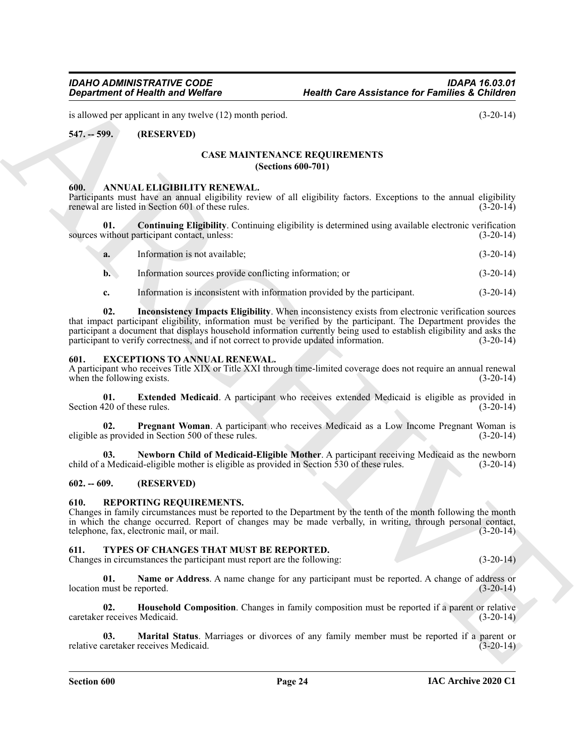is allowed per applicant in any twelve (12) month period. (3-20-14)

# <span id="page-23-1"></span><span id="page-23-0"></span>**547. -- 599. (RESERVED)**

# <span id="page-23-10"></span>**CASE MAINTENANCE REQUIREMENTS (Sections 600-701)**

#### <span id="page-23-7"></span><span id="page-23-2"></span>**600. ANNUAL ELIGIBILITY RENEWAL.**

Participants must have an annual eligibility review of all eligibility factors. Exceptions to the annual eligibility renewal are listed in Section 601 of these rules. (3-20-14)

**01. Continuing Eligibility**. Continuing eligibility is determined using available electronic verification without participant contact, unless: (3-20-14) sources without participant contact, unless:

<span id="page-23-8"></span>

| a. | Information is not available: | $(3-20-14)$ |
|----|-------------------------------|-------------|
|    |                               |             |

- **b.** Information sources provide conflicting information; or (3-20-14)
- <span id="page-23-9"></span>**c.** Information is inconsistent with information provided by the participant.  $(3-20-14)$

**Equation of Nicalli wave Wedlets (a)** Westlin Care Assistance for Families a Children<br>
St. 259. (RESERVINT)<br>
SCANDING TRIGHER (S) muscle process of all displaced forest and the second of manifestation of the second of th **02. Inconsistency Impacts Eligibility**. When inconsistency exists from electronic verification sources that impact participant eligibility, information must be verified by the participant. The Department provides the participant a document that displays household information currently being used to establish eligibility and asks the participant to verify correctness, and if not correct to provide updated information. (3-20-14)

# <span id="page-23-11"></span><span id="page-23-3"></span>**601. EXCEPTIONS TO ANNUAL RENEWAL.**

A participant who receives Title XIX or Title XXI through time-limited coverage does not require an annual renewal when the following exists.

<span id="page-23-12"></span>**01. Extended Medicaid**. A participant who receives extended Medicaid is eligible as provided in  $\frac{120 \text{ of these rules}}{(3-20-14)}$ Section 420 of these rules.

<span id="page-23-14"></span>**02. Pregnant Woman**. A participant who receives Medicaid as a Low Income Pregnant Woman is as provided in Section 500 of these rules. eligible as provided in Section 500 of these rules.

<span id="page-23-13"></span>**03. Newborn Child of Medicaid-Eligible Mother**. A participant receiving Medicaid as the newborn child of a Medicaid-eligible mother is eligible as provided in Section 530 of these rules. (3-20-14)

# <span id="page-23-4"></span>**602. -- 609. (RESERVED)**

# <span id="page-23-15"></span><span id="page-23-5"></span>**610. REPORTING REQUIREMENTS.**

Changes in family circumstances must be reported to the Department by the tenth of the month following the month in which the change occurred. Report of changes may be made verbally, in writing, through personal contact, telephone, fax, electronic mail, or mail. (3-20-14)

# <span id="page-23-16"></span><span id="page-23-6"></span>**611. TYPES OF CHANGES THAT MUST BE REPORTED.**

Changes in circumstances the participant must report are the following: (3-20-14)

<span id="page-23-19"></span>**01.** Name or Address. A name change for any participant must be reported. A change of address or must be reported. (3-20-14) location must be reported.

<span id="page-23-17"></span>**02. Household Composition**. Changes in family composition must be reported if a parent or relative caretaker receives Medicaid. (3-20-14)

<span id="page-23-18"></span>**03. Marital Status**. Marriages or divorces of any family member must be reported if a parent or caretaker receives Medicaid. (3-20-14) relative caretaker receives Medicaid.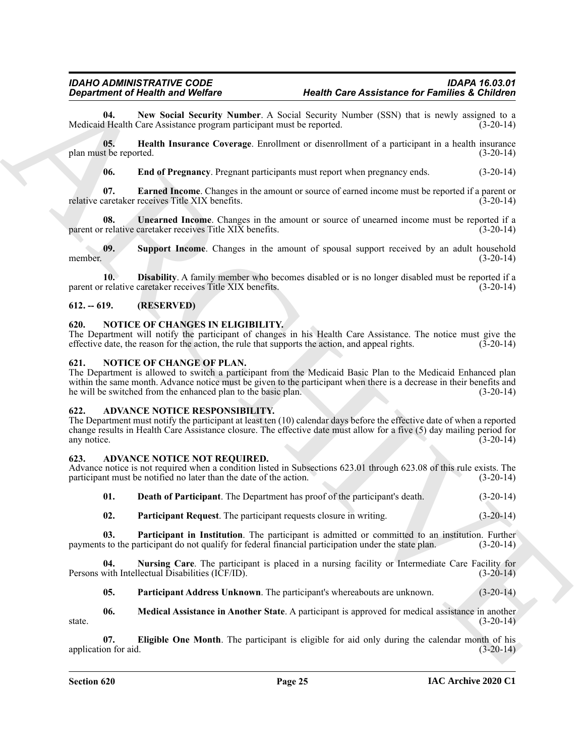<span id="page-24-20"></span>**04.** New Social Security Number. A Social Security Number (SSN) that is newly assigned to a Health Care Assistance program participant must be reported. (3-20-14) Medicaid Health Care Assistance program participant must be reported.

**05. Health Insurance Coverage**. Enrollment or disenrollment of a participant in a health insurance plan must be reported. (3-20-14)

<span id="page-24-22"></span><span id="page-24-19"></span><span id="page-24-18"></span><span id="page-24-17"></span>**06. End of Pregnancy**. Pregnant participants must report when pregnancy ends. (3-20-14)

**07. Earned Income**. Changes in the amount or source of earned income must be reported if a parent or relative caretaker receives Title XIX benefits. (3-20-14)

**08.** Unearned Income. Changes in the amount or source of unearned income must be reported if a relative caretaker receives Title XIX benefits. (3-20-14) parent or relative caretaker receives Title  $XIX$  benefits.

<span id="page-24-21"></span>**09. Support Income**. Changes in the amount of spousal support received by an adult household member. (3-20-14)

<span id="page-24-16"></span>**10. Disability**. A family member who becomes disabled or is no longer disabled must be reported if a parent or relative caretaker receives Title XIX benefits. (3-20-14)

# <span id="page-24-0"></span>**612. -- 619. (RESERVED)**

# <span id="page-24-15"></span><span id="page-24-1"></span>**620. NOTICE OF CHANGES IN ELIGIBILITY.**

The Department will notify the participant of changes in his Health Care Assistance. The notice must give the effective date, the reason for the action, the rule that supports the action, and appeal rights. (3-20-14)

# <span id="page-24-14"></span><span id="page-24-2"></span>**621. NOTICE OF CHANGE OF PLAN.**

The Department is allowed to switch a participant from the Medicaid Basic Plan to the Medicaid Enhanced plan within the same month. Advance notice must be given to the participant when there is a decrease in their benefits and he will be switched from the enhanced plan to the basic plan. (3-20-14)

# <span id="page-24-13"></span><span id="page-24-3"></span>**622. ADVANCE NOTICE RESPONSIBILITY.**

**Expansion of Nearly Western Control of New York Section Control of New York Section 2.1 and Section 2.1 and Section 2.1 and Section 2.1 and Section 2.1 and Section 2.1 and Section 2.1 and Section 2.1 and Section 2.1 and** The Department must notify the participant at least ten (10) calendar days before the effective date of when a reported change results in Health Care Assistance closure. The effective date must allow for a five (5) day mailing period for any notice. (3-20-14) any notice. (3-20-14)

# <span id="page-24-5"></span><span id="page-24-4"></span>**623. ADVANCE NOTICE NOT REQUIRED.**

Advance notice is not required when a condition listed in Subsections 623.01 through 623.08 of this rule exists. The participant must be notified no later than the date of the action. (3-20-14)

<span id="page-24-6"></span>**01. Death of Participant**. The Department has proof of the participant's death. (3-20-14)

<span id="page-24-12"></span><span id="page-24-11"></span>**02. Participant Request**. The participant requests closure in writing. (3-20-14)

**03.** Participant in Institution. The participant is admitted or committed to an institution. Further s to the participant do not qualify for federal financial participation under the state plan. (3-20-14) payments to the participant do not qualify for federal financial participation under the state plan.

**04. Nursing Care**. The participant is placed in a nursing facility or Intermediate Care Facility for with Intellectual Disabilities (ICF/ID). (3-20-14) Persons with Intellectual Disabilities (ICF/ID).

<span id="page-24-10"></span><span id="page-24-9"></span><span id="page-24-8"></span><span id="page-24-7"></span>**05. Participant Address Unknown**. The participant's whereabouts are unknown. (3-20-14)

**06. Medical Assistance in Another State**. A participant is approved for medical assistance in another state.  $(3-20-14)$ 

**07. Eligible One Month**. The participant is eligible for aid only during the calendar month of his application for aid.  $(3-20-14)$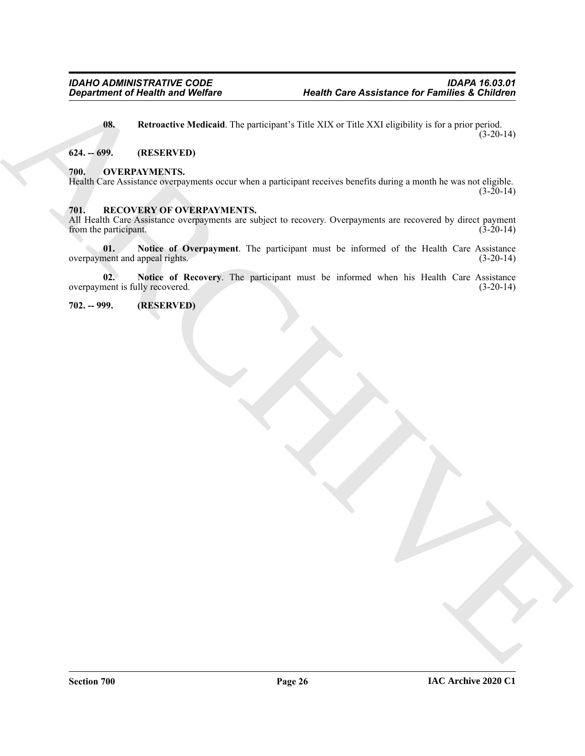*General control of Histolitical* Targets (particular VIII) Extra Assistance for Families a Children<br> **ARCHIVEN TRESS (CONTROL)**<br> **ARCHIVEN TRESS (CONTROL)**<br>
APROVIDENTS,<br>
The ARCHIVENCES<br>
TRESS CONTROLLES CONTROLLES (CON **08.** Retroactive Medicaid. The participant's Title XIX or Title XXI eligibility is for a prior period.  $(3-20-14)$ 

# <span id="page-25-4"></span><span id="page-25-0"></span>**624. -- 699. (RESERVED)**

# <span id="page-25-5"></span><span id="page-25-1"></span>**700. OVERPAYMENTS.**

Health Care Assistance overpayments occur when a participant receives benefits during a month he was not eligible.  $(3-20-14)$ 

# <span id="page-25-6"></span><span id="page-25-2"></span>**701. RECOVERY OF OVERPAYMENTS.**

All Health Care Assistance overpayments are subject to recovery. Overpayments are recovered by direct payment from the participant. (3-20-14) from the participant.

<span id="page-25-7"></span>**01.** Notice of Overpayment. The participant must be informed of the Health Care Assistance nent and appeal rights. (3-20-14) overpayment and appeal rights.

<span id="page-25-8"></span>**02. Notice of Recovery**. The participant must be informed when his Health Care Assistance overpayment is fully recovered. (3-20-14)

<span id="page-25-3"></span>**702. -- 999. (RESERVED)**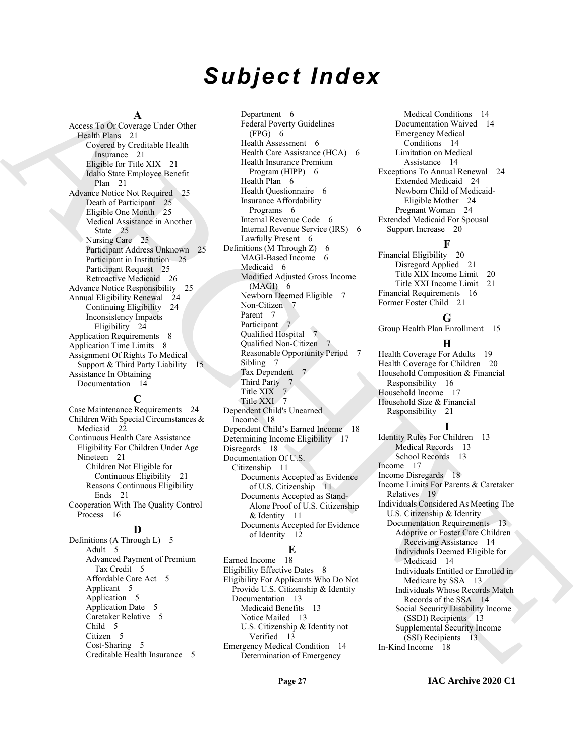# *Subject Index*

#### **A**

Access To Or Coverage Under Other Health Plans 21 Covered by Creditable Health Insurance 21 Eligible for Title XIX 21 Idaho State Employee Benefit Plan 21 Advance Notice Not Required 25 Death of Participant 25 Eligible One Month 25 Medical Assistance in Another State 25 Nursing Care 25 Participant Address Unknown 25 Participant in Institution 25 Participant Request 25 Retroactive Medicaid 26 Advance Notice Responsibility 25 Annual Eligibility Renewal 24 Continuing Eligibility 24 Inconsistency Impacts Eligibility 24 Application Requirements 8 Application Time Limits 8 Assignment Of Rights To Medical Support & Third Party Liability 15 Assistance In Obtaining Documentation 14

# **C**

Case Maintenance Requirements 24 Children With Special Circumstances & Medicaid 22 Continuous Health Care Assistance Eligibility For Children Under Age Nineteen 21 Children Not Eligible for Continuous Eligibility 21 Reasons Continuous Eligibility Ends 21 Cooperation With The Quality Control Process 16

# **D**

Definitions (A Through L) 5 Adult 5 Advanced Payment of Premium Tax Credit 5 Affordable Care Act 5 Applicant 5 Application 5 Application Date 5 Caretaker Relative 5 Child 5 Citizen 5 Cost-Sharing 5 Creditable Health Insurance 5

[A](#page-20-5)rchive [C](#page-5-15)onsidered Data Considered Data Considered Considered Data Considered Data Considered Data Considered Data Considered Data Considered Data Considered Data Considered Data Considered Data Considered Data Considered Department 6 Federal Poverty Guidelines (FPG) 6 Health Assessment 6 Health Care Assistance (HCA) 6 Health Insurance Premium Program (HIPP) 6 Health Plan 6 Health Questionnaire 6 Insurance Affordability Programs 6 Internal Revenue Code 6 Internal Revenue Service (IRS) 6 Lawfully Present 6 Definitions (M Through  $Z$ ) 6 MAGI-Based Income 6 Medicaid 6 Modified Adjusted Gross Income (MAGI) 6 Newborn Deemed Eligible 7 Non-Citizen 7 Parent 7 Participant 7 Qualified Hospital 7 Qualified Non-Citizen 7 Reasonable Opportunity Period 7 Sibling 7 Tax Dependent 7 Third Party 7 Title XIX 7 Title XXI 7 Dependent Child's Unearned Income 18 Dependent Child's Earned Income 18 Determining Income Eligibility 17 Disregards 18 Documentation Of U.S. Citizenship 11 Documents Accepted as Evidence of U.S. Citizenship 11 Documents Accepted as Stand-Alone Proof of U.S. Citizenship & Identity 11 Documents Accepted for Evidence of Identity 12

# **E**

Earned Income 18 Eligibility Effective Dates 8 Eligibility For Applicants Who Do Not Provide U.S. Citizenship & Identity Documentation 13 Medicaid Benefits 13 Notice Mailed 13 U.S. Citizenship & Identity not Verified 13 Emergency Medical Condition 14 Determination of Emergency

Medical Conditions 14 Documentation Waived 14 Emergency Medical Conditions 14 Limitation on Medical Assistance 14 Exceptions To Annual Renewal 24 Extended Medicaid 24 Newborn Child of Medicaid-Eligible Mother 24 Pregnant Woman 24 Extended Medicaid For Spousal Support Increase 20

# **F**

Financial Eligibility 20 Disregard Applied 21 Title XIX Income Limit 20 Title XXI Income Limit 21 Financial Requirements 16 Former Foster Child 21

# **G**

Group Health Plan Enrollment 15

# **H**

Health Coverage For Adults 19 Health Coverage for Children 20 Household Composition & Financial Responsibility 16 Household Income 17 Household Size & Financial Responsibility 21

# **I**

Identity Rules For Children 13 Medical Records 13 School Records 13 Income 17 Income Disregards 18 Income Limits For Parents & Caretaker Relatives 19 Individuals Considered As Meeting The U.S. Citizenship & Identity Documentation Requirements 13 Adoptive or Foster Care Children Receiving Assistance 14 Individuals Deemed Eligible for Medicaid 14 Individuals Entitled or Enrolled in Medicare by SSA 13 Individuals Whose Records Match Records of the SSA 14 Social Security Disability Income (SSDI) Recipients 13 Supplemental Security Income (SSI) Recipients 13 In-Kind Income 18